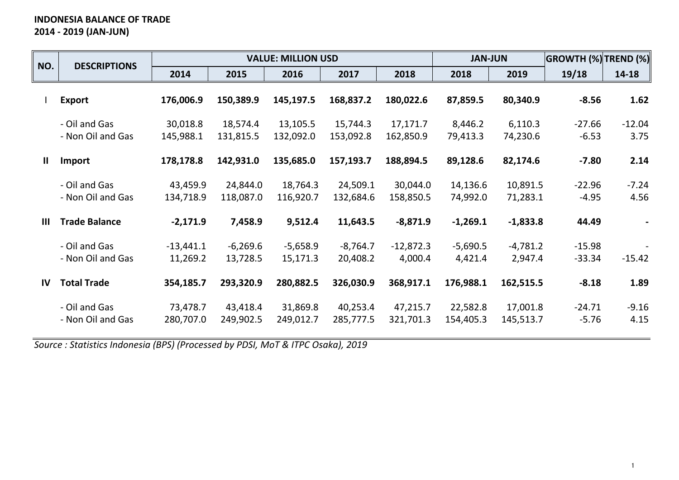# **INDONESIA BALANCE OF TRADE 2014 - 2019 (JAN-JUN)**

| NO.            | <b>DESCRIPTIONS</b>                |                         |                        | <b>VALUE: MILLION USD</b> |                        |                        | <b>JAN-JUN</b>        |                       | <b>GROWTH (%) TREND (%)</b> |                  |
|----------------|------------------------------------|-------------------------|------------------------|---------------------------|------------------------|------------------------|-----------------------|-----------------------|-----------------------------|------------------|
|                |                                    | 2014                    | 2015                   | 2016                      | 2017                   | 2018                   | 2018                  | 2019                  | 19/18                       | 14-18            |
|                | <b>Export</b>                      | 176,006.9               | 150,389.9              | 145,197.5                 | 168,837.2              | 180,022.6              | 87,859.5              | 80,340.9              | $-8.56$                     | 1.62             |
|                | - Oil and Gas<br>- Non Oil and Gas | 30,018.8<br>145,988.1   | 18,574.4<br>131,815.5  | 13,105.5<br>132,092.0     | 15,744.3<br>153,092.8  | 17,171.7<br>162,850.9  | 8,446.2<br>79,413.3   | 6,110.3<br>74,230.6   | $-27.66$<br>$-6.53$         | $-12.04$<br>3.75 |
| $\mathbf{II}$  | <b>Import</b>                      | 178,178.8               | 142,931.0              | 135,685.0                 | 157,193.7              | 188,894.5              | 89,128.6              | 82,174.6              | $-7.80$                     | 2.14             |
|                | - Oil and Gas<br>- Non Oil and Gas | 43,459.9<br>134,718.9   | 24,844.0<br>118,087.0  | 18,764.3<br>116,920.7     | 24,509.1<br>132,684.6  | 30,044.0<br>158,850.5  | 14,136.6<br>74,992.0  | 10,891.5<br>71,283.1  | $-22.96$<br>$-4.95$         | $-7.24$<br>4.56  |
| $\mathbf{III}$ | <b>Trade Balance</b>               | $-2,171.9$              | 7,458.9                | 9,512.4                   | 11,643.5               | $-8,871.9$             | $-1,269.1$            | $-1,833.8$            | 44.49                       |                  |
|                | - Oil and Gas<br>- Non Oil and Gas | $-13,441.1$<br>11,269.2 | $-6,269.6$<br>13,728.5 | $-5,658.9$<br>15,171.3    | $-8,764.7$<br>20,408.2 | $-12,872.3$<br>4,000.4 | $-5,690.5$<br>4,421.4 | $-4,781.2$<br>2,947.4 | $-15.98$<br>$-33.34$        | $-15.42$         |
| IV             | <b>Total Trade</b>                 | 354,185.7               | 293,320.9              | 280,882.5                 | 326,030.9              | 368,917.1              | 176,988.1             | 162,515.5             | $-8.18$                     | 1.89             |
|                | - Oil and Gas<br>- Non Oil and Gas | 73,478.7<br>280,707.0   | 43,418.4<br>249,902.5  | 31,869.8<br>249,012.7     | 40,253.4<br>285,777.5  | 47,215.7<br>321,701.3  | 22,582.8<br>154,405.3 | 17,001.8<br>145,513.7 | $-24.71$<br>$-5.76$         | $-9.16$<br>4.15  |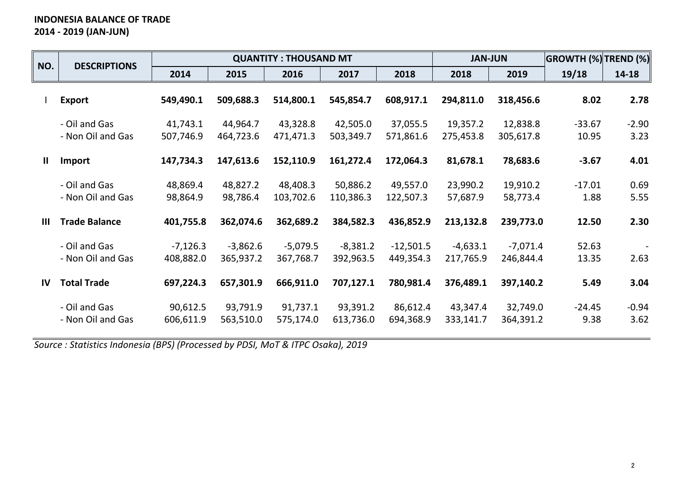# **INDONESIA BALANCE OF TRADE 2014 - 2019 (JAN-JUN)**

| NO.            | <b>DESCRIPTIONS</b>                |                         |                         | <b>QUANTITY: THOUSAND MT</b> |                         |                          | <b>JAN-JUN</b>          |                         | <b>GROWTH (%) TREND (%)</b> |                 |
|----------------|------------------------------------|-------------------------|-------------------------|------------------------------|-------------------------|--------------------------|-------------------------|-------------------------|-----------------------------|-----------------|
|                |                                    | 2014                    | 2015                    | 2016                         | 2017                    | 2018                     | 2018                    | 2019                    | 19/18                       | 14-18           |
|                | <b>Export</b>                      | 549,490.1               | 509,688.3               | 514,800.1                    | 545,854.7               | 608,917.1                | 294,811.0               | 318,456.6               | 8.02                        | 2.78            |
|                | - Oil and Gas<br>- Non Oil and Gas | 41,743.1<br>507,746.9   | 44,964.7<br>464,723.6   | 43,328.8<br>471,471.3        | 42,505.0<br>503,349.7   | 37,055.5<br>571,861.6    | 19,357.2<br>275,453.8   | 12,838.8<br>305,617.8   | $-33.67$<br>10.95           | $-2.90$<br>3.23 |
| $\mathbf{II}$  | <b>Import</b>                      | 147,734.3               | 147,613.6               | 152,110.9                    | 161,272.4               | 172,064.3                | 81,678.1                | 78,683.6                | $-3.67$                     | 4.01            |
|                | - Oil and Gas<br>- Non Oil and Gas | 48,869.4<br>98,864.9    | 48,827.2<br>98,786.4    | 48,408.3<br>103,702.6        | 50,886.2<br>110,386.3   | 49,557.0<br>122,507.3    | 23,990.2<br>57,687.9    | 19,910.2<br>58,773.4    | $-17.01$<br>1.88            | 0.69<br>5.55    |
| $\mathbf{III}$ | <b>Trade Balance</b>               | 401,755.8               | 362,074.6               | 362,689.2                    | 384,582.3               | 436,852.9                | 213,132.8               | 239,773.0               | 12.50                       | 2.30            |
|                | - Oil and Gas<br>- Non Oil and Gas | $-7,126.3$<br>408,882.0 | $-3,862.6$<br>365,937.2 | $-5,079.5$<br>367,768.7      | $-8,381.2$<br>392,963.5 | $-12,501.5$<br>449,354.3 | $-4,633.1$<br>217,765.9 | $-7,071.4$<br>246,844.4 | 52.63<br>13.35              | 2.63            |
| IV             | <b>Total Trade</b>                 | 697,224.3               | 657,301.9               | 666,911.0                    | 707,127.1               | 780,981.4                | 376,489.1               | 397,140.2               | 5.49                        | 3.04            |
|                | - Oil and Gas<br>- Non Oil and Gas | 90,612.5<br>606,611.9   | 93,791.9<br>563,510.0   | 91,737.1<br>575,174.0        | 93,391.2<br>613,736.0   | 86,612.4<br>694,368.9    | 43,347.4<br>333,141.7   | 32,749.0<br>364,391.2   | $-24.45$<br>9.38            | $-0.94$<br>3.62 |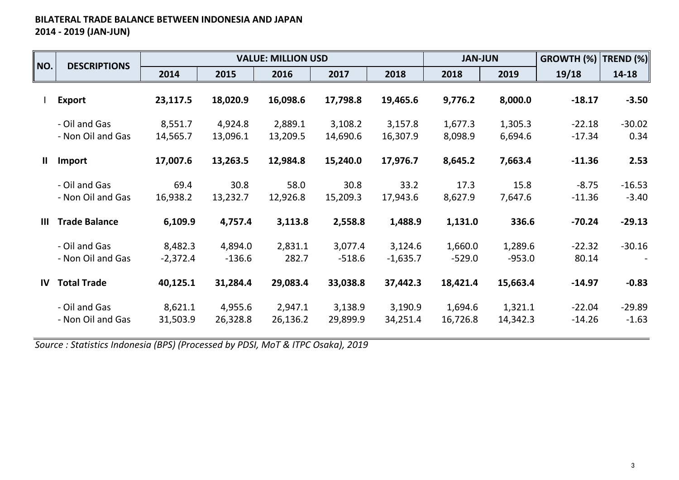## **BILATERAL TRADE BALANCE BETWEEN INDONESIA AND JAPAN 2014 - 2019 (JAN-JUN)**

| NO.           | <b>DESCRIPTIONS</b>                |                       |                     | <b>VALUE: MILLION USD</b> |                     |                       | <b>JAN-JUN</b>      |                     | GROWTH (%)           | TREND (%)           |
|---------------|------------------------------------|-----------------------|---------------------|---------------------------|---------------------|-----------------------|---------------------|---------------------|----------------------|---------------------|
|               |                                    | 2014                  | 2015                | 2016                      | 2017                | 2018                  | 2018                | 2019                | 19/18                | 14-18               |
|               | <b>Export</b>                      | 23,117.5              | 18,020.9            | 16,098.6                  | 17,798.8            | 19,465.6              | 9,776.2             | 8,000.0             | $-18.17$             | $-3.50$             |
|               | - Oil and Gas<br>- Non Oil and Gas | 8,551.7<br>14,565.7   | 4,924.8<br>13,096.1 | 2,889.1<br>13,209.5       | 3,108.2<br>14,690.6 | 3,157.8<br>16,307.9   | 1,677.3<br>8,098.9  | 1,305.3<br>6,694.6  | $-22.18$<br>$-17.34$ | $-30.02$<br>0.34    |
| $\mathbf{II}$ | Import                             | 17,007.6              | 13,263.5            | 12,984.8                  | 15,240.0            | 17,976.7              | 8,645.2             | 7,663.4             | $-11.36$             | 2.53                |
|               | - Oil and Gas<br>- Non Oil and Gas | 69.4<br>16,938.2      | 30.8<br>13,232.7    | 58.0<br>12,926.8          | 30.8<br>15,209.3    | 33.2<br>17,943.6      | 17.3<br>8,627.9     | 15.8<br>7,647.6     | $-8.75$<br>$-11.36$  | $-16.53$<br>$-3.40$ |
| Ш             | <b>Trade Balance</b>               | 6,109.9               | 4,757.4             | 3,113.8                   | 2,558.8             | 1,488.9               | 1,131.0             | 336.6               | $-70.24$             | $-29.13$            |
|               | - Oil and Gas<br>- Non Oil and Gas | 8,482.3<br>$-2,372.4$ | 4,894.0<br>$-136.6$ | 2,831.1<br>282.7          | 3,077.4<br>$-518.6$ | 3,124.6<br>$-1,635.7$ | 1,660.0<br>$-529.0$ | 1,289.6<br>$-953.0$ | $-22.32$<br>80.14    | $-30.16$            |
| IV            | <b>Total Trade</b>                 | 40,125.1              | 31,284.4            | 29,083.4                  | 33,038.8            | 37,442.3              | 18,421.4            | 15,663.4            | $-14.97$             | $-0.83$             |
|               | - Oil and Gas<br>- Non Oil and Gas | 8,621.1<br>31,503.9   | 4,955.6<br>26,328.8 | 2,947.1<br>26,136.2       | 3,138.9<br>29,899.9 | 3,190.9<br>34,251.4   | 1,694.6<br>16,726.8 | 1,321.1<br>14,342.3 | $-22.04$<br>$-14.26$ | $-29.89$<br>$-1.63$ |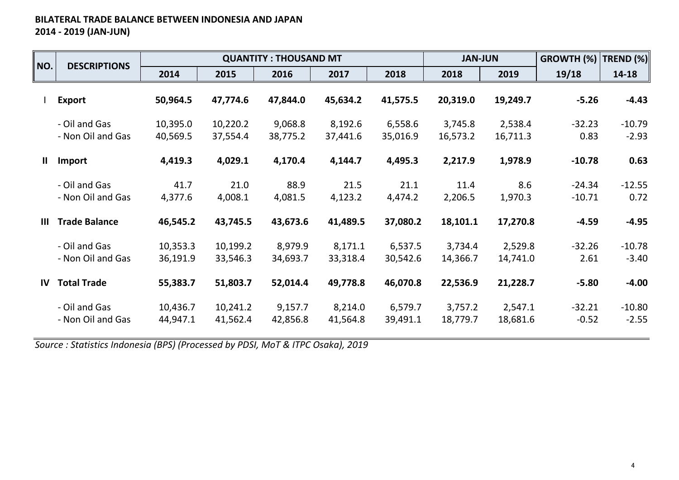## **BILATERAL TRADE BALANCE BETWEEN INDONESIA AND JAPAN 2014 - 2019 (JAN-JUN)**

| NO.           | <b>DESCRIPTIONS</b>                |                      |                      | <b>QUANTITY: THOUSAND MT</b> |                     |                     | <b>JAN-JUN</b>      |                     | GROWTH (%)           | TREND (%)           |
|---------------|------------------------------------|----------------------|----------------------|------------------------------|---------------------|---------------------|---------------------|---------------------|----------------------|---------------------|
|               |                                    | 2014                 | 2015                 | 2016                         | 2017                | 2018                | 2018                | 2019                | 19/18                | 14-18               |
|               | <b>Export</b>                      | 50,964.5             | 47,774.6             | 47,844.0                     | 45,634.2            | 41,575.5            | 20,319.0            | 19,249.7            | $-5.26$              | $-4.43$             |
|               | - Oil and Gas<br>- Non Oil and Gas | 10,395.0<br>40,569.5 | 10,220.2<br>37,554.4 | 9,068.8<br>38,775.2          | 8,192.6<br>37,441.6 | 6,558.6<br>35,016.9 | 3,745.8<br>16,573.2 | 2,538.4<br>16,711.3 | $-32.23$<br>0.83     | $-10.79$<br>$-2.93$ |
| Ш             | Import                             | 4,419.3              | 4,029.1              | 4,170.4                      | 4,144.7             | 4,495.3             | 2,217.9             | 1,978.9             | $-10.78$             | 0.63                |
|               | - Oil and Gas<br>- Non Oil and Gas | 41.7<br>4,377.6      | 21.0<br>4,008.1      | 88.9<br>4,081.5              | 21.5<br>4,123.2     | 21.1<br>4,474.2     | 11.4<br>2,206.5     | 8.6<br>1,970.3      | $-24.34$<br>$-10.71$ | $-12.55$<br>0.72    |
| Ш             | <b>Trade Balance</b>               | 46,545.2             | 43,745.5             | 43,673.6                     | 41,489.5            | 37,080.2            | 18,101.1            | 17,270.8            | $-4.59$              | $-4.95$             |
|               | - Oil and Gas<br>- Non Oil and Gas | 10,353.3<br>36,191.9 | 10,199.2<br>33,546.3 | 8,979.9<br>34,693.7          | 8,171.1<br>33,318.4 | 6,537.5<br>30,542.6 | 3,734.4<br>14,366.7 | 2,529.8<br>14,741.0 | $-32.26$<br>2.61     | $-10.78$<br>$-3.40$ |
| $\mathsf{IV}$ | <b>Total Trade</b>                 | 55,383.7             | 51,803.7             | 52,014.4                     | 49,778.8            | 46,070.8            | 22,536.9            | 21,228.7            | $-5.80$              | $-4.00$             |
|               | - Oil and Gas<br>- Non Oil and Gas | 10,436.7<br>44,947.1 | 10,241.2<br>41,562.4 | 9,157.7<br>42,856.8          | 8,214.0<br>41,564.8 | 6,579.7<br>39,491.1 | 3,757.2<br>18,779.7 | 2,547.1<br>18,681.6 | $-32.21$<br>$-0.52$  | $-10.80$<br>$-2.55$ |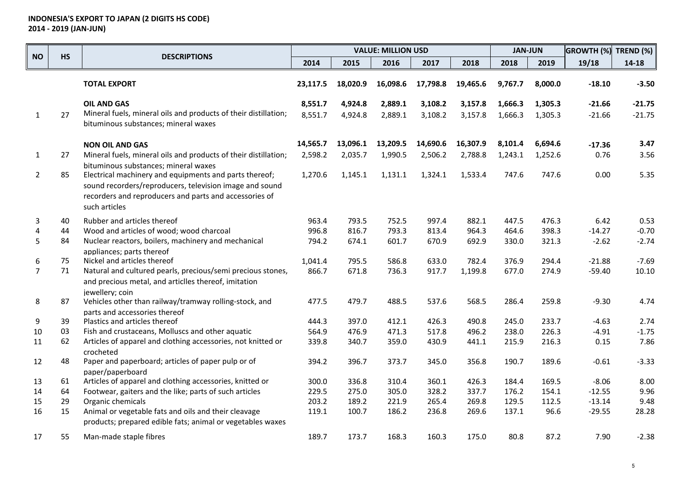|                | <b>HS</b> |                                                                                                                                                                                              |                    |                    | <b>VALUE: MILLION USD</b> |                    |                    | <b>JAN-JUN</b>     |                    | <b>GROWTH (%)</b>    | TREND (%)            |
|----------------|-----------|----------------------------------------------------------------------------------------------------------------------------------------------------------------------------------------------|--------------------|--------------------|---------------------------|--------------------|--------------------|--------------------|--------------------|----------------------|----------------------|
| <b>NO</b>      |           | <b>DESCRIPTIONS</b>                                                                                                                                                                          | 2014               | 2015               | 2016                      | 2017               | 2018               | 2018               | 2019               | 19/18                | 14-18                |
|                |           | <b>TOTAL EXPORT</b>                                                                                                                                                                          | 23,117.5           | 18,020.9           | 16,098.6                  | 17,798.8           | 19,465.6           | 9,767.7            | 8,000.0            | $-18.10$             | $-3.50$              |
| 1              | 27        | <b>OIL AND GAS</b><br>Mineral fuels, mineral oils and products of their distillation;<br>bituminous substances; mineral waxes                                                                | 8,551.7<br>8,551.7 | 4,924.8<br>4,924.8 | 2,889.1<br>2,889.1        | 3,108.2<br>3,108.2 | 3,157.8<br>3,157.8 | 1,666.3<br>1,666.3 | 1,305.3<br>1,305.3 | $-21.66$<br>$-21.66$ | $-21.75$<br>$-21.75$ |
|                |           | <b>NON OIL AND GAS</b>                                                                                                                                                                       | 14,565.7           | 13,096.1           | 13,209.5                  | 14,690.6           | 16,307.9           | 8,101.4            | 6,694.6            | $-17.36$             | 3.47                 |
| $\mathbf{1}$   | 27        | Mineral fuels, mineral oils and products of their distillation;<br>bituminous substances; mineral waxes                                                                                      | 2,598.2            | 2,035.7            | 1,990.5                   | 2,506.2            | 2,788.8            | 1,243.1            | 1,252.6            | 0.76                 | 3.56                 |
| $\overline{2}$ | 85        | Electrical machinery and equipments and parts thereof;<br>sound recorders/reproducers, television image and sound<br>recorders and reproducers and parts and accessories of<br>such articles | 1,270.6            | 1,145.1            | 1,131.1                   | 1,324.1            | 1,533.4            | 747.6              | 747.6              | 0.00                 | 5.35                 |
| 3              | 40        | Rubber and articles thereof                                                                                                                                                                  | 963.4              | 793.5              | 752.5                     | 997.4              | 882.1              | 447.5              | 476.3              | 6.42                 | 0.53                 |
| 4              | 44        | Wood and articles of wood; wood charcoal                                                                                                                                                     | 996.8              | 816.7              | 793.3                     | 813.4              | 964.3              | 464.6              | 398.3              | $-14.27$             | $-0.70$              |
| 5              | 84        | Nuclear reactors, boilers, machinery and mechanical<br>appliances; parts thereof                                                                                                             | 794.2              | 674.1              | 601.7                     | 670.9              | 692.9              | 330.0              | 321.3              | $-2.62$              | $-2.74$              |
| 6              | 75        | Nickel and articles thereof                                                                                                                                                                  | 1,041.4            | 795.5              | 586.8                     | 633.0              | 782.4              | 376.9              | 294.4              | $-21.88$             | $-7.69$              |
| $\overline{7}$ | 71        | Natural and cultured pearls, precious/semi precious stones,<br>and precious metal, and articlles thereof, imitation<br>jewellery; coin                                                       | 866.7              | 671.8              | 736.3                     | 917.7              | 1,199.8            | 677.0              | 274.9              | $-59.40$             | 10.10                |
| 8              | 87        | Vehicles other than railway/tramway rolling-stock, and<br>parts and accessories thereof                                                                                                      | 477.5              | 479.7              | 488.5                     | 537.6              | 568.5              | 286.4              | 259.8              | $-9.30$              | 4.74                 |
| 9              | 39        | Plastics and articles thereof                                                                                                                                                                | 444.3              | 397.0              | 412.1                     | 426.3              | 490.8              | 245.0              | 233.7              | $-4.63$              | 2.74                 |
| 10             | 03        | Fish and crustaceans, Molluscs and other aquatic                                                                                                                                             | 564.9              | 476.9              | 471.3                     | 517.8              | 496.2              | 238.0              | 226.3              | $-4.91$              | $-1.75$              |
| 11             | 62        | Articles of apparel and clothing accessories, not knitted or<br>crocheted                                                                                                                    | 339.8              | 340.7              | 359.0                     | 430.9              | 441.1              | 215.9              | 216.3              | 0.15                 | 7.86                 |
| 12             | 48        | Paper and paperboard; articles of paper pulp or of<br>paper/paperboard                                                                                                                       | 394.2              | 396.7              | 373.7                     | 345.0              | 356.8              | 190.7              | 189.6              | $-0.61$              | $-3.33$              |
| 13             | 61        | Articles of apparel and clothing accessories, knitted or                                                                                                                                     | 300.0              | 336.8              | 310.4                     | 360.1              | 426.3              | 184.4              | 169.5              | $-8.06$              | 8.00                 |
| 14             | 64        | Footwear, gaiters and the like; parts of such articles                                                                                                                                       | 229.5              | 275.0              | 305.0                     | 328.2              | 337.7              | 176.2              | 154.1              | $-12.55$             | 9.96                 |
| 15             | 29        | Organic chemicals                                                                                                                                                                            | 203.2              | 189.2              | 221.9                     | 265.4              | 269.8              | 129.5              | 112.5              | $-13.14$             | 9.48                 |
| 16             | 15        | Animal or vegetable fats and oils and their cleavage<br>products; prepared edible fats; animal or vegetables waxes                                                                           | 119.1              | 100.7              | 186.2                     | 236.8              | 269.6              | 137.1              | 96.6               | $-29.55$             | 28.28                |
| 17             | 55        | Man-made staple fibres                                                                                                                                                                       | 189.7              | 173.7              | 168.3                     | 160.3              | 175.0              | 80.8               | 87.2               | 7.90                 | $-2.38$              |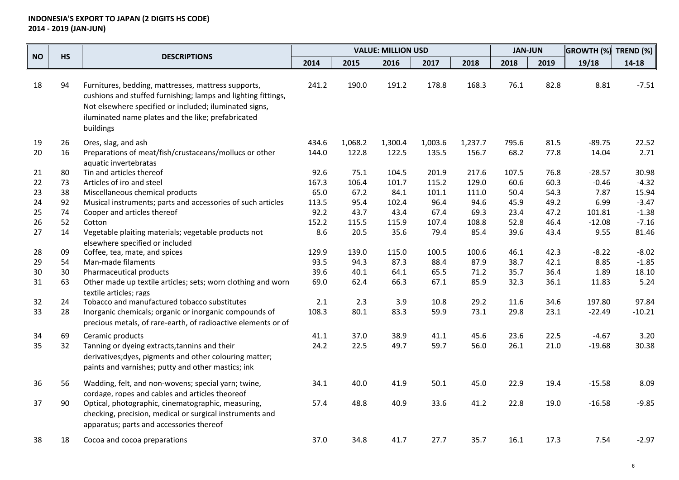|           |           |                                                                                                                                                                                                                                                   |       |         | <b>VALUE: MILLION USD</b> |         |         | <b>JAN-JUN</b> |      | <b>GROWTH (%)</b> | <b>TREND (%)</b> |
|-----------|-----------|---------------------------------------------------------------------------------------------------------------------------------------------------------------------------------------------------------------------------------------------------|-------|---------|---------------------------|---------|---------|----------------|------|-------------------|------------------|
| <b>NO</b> | <b>HS</b> | <b>DESCRIPTIONS</b>                                                                                                                                                                                                                               | 2014  | 2015    | 2016                      | 2017    | 2018    | 2018           | 2019 | 19/18             | 14-18            |
| 18        | 94        | Furnitures, bedding, mattresses, mattress supports,<br>cushions and stuffed furnishing; lamps and lighting fittings,<br>Not elsewhere specified or included; iluminated signs,<br>iluminated name plates and the like; prefabricated<br>buildings | 241.2 | 190.0   | 191.2                     | 178.8   | 168.3   | 76.1           | 82.8 | 8.81              | $-7.51$          |
| 19        | 26        | Ores, slag, and ash                                                                                                                                                                                                                               | 434.6 | 1,068.2 | 1,300.4                   | 1,003.6 | 1,237.7 | 795.6          | 81.5 | $-89.75$          | 22.52            |
| 20        | 16        | Preparations of meat/fish/crustaceans/mollucs or other<br>aquatic invertebratas                                                                                                                                                                   | 144.0 | 122.8   | 122.5                     | 135.5   | 156.7   | 68.2           | 77.8 | 14.04             | 2.71             |
| 21        | 80        | Tin and articles thereof                                                                                                                                                                                                                          | 92.6  | 75.1    | 104.5                     | 201.9   | 217.6   | 107.5          | 76.8 | $-28.57$          | 30.98            |
| 22        | 73        | Articles of iro and steel                                                                                                                                                                                                                         | 167.3 | 106.4   | 101.7                     | 115.2   | 129.0   | 60.6           | 60.3 | $-0.46$           | $-4.32$          |
| 23        | 38        | Miscellaneous chemical products                                                                                                                                                                                                                   | 65.0  | 67.2    | 84.1                      | 101.1   | 111.0   | 50.4           | 54.3 | 7.87              | 15.94            |
| 24        | 92        | Musical instruments; parts and accessories of such articles                                                                                                                                                                                       | 113.5 | 95.4    | 102.4                     | 96.4    | 94.6    | 45.9           | 49.2 | 6.99              | $-3.47$          |
| 25        | 74        | Cooper and articles thereof                                                                                                                                                                                                                       | 92.2  | 43.7    | 43.4                      | 67.4    | 69.3    | 23.4           | 47.2 | 101.81            | $-1.38$          |
| 26        | 52        | Cotton                                                                                                                                                                                                                                            | 152.2 | 115.5   | 115.9                     | 107.4   | 108.8   | 52.8           | 46.4 | $-12.08$          | $-7.16$          |
| 27        | 14        | Vegetable plaiting materials; vegetable products not<br>elsewhere specified or included                                                                                                                                                           | 8.6   | 20.5    | 35.6                      | 79.4    | 85.4    | 39.6           | 43.4 | 9.55              | 81.46            |
| 28        | 09        | Coffee, tea, mate, and spices                                                                                                                                                                                                                     | 129.9 | 139.0   | 115.0                     | 100.5   | 100.6   | 46.1           | 42.3 | $-8.22$           | $-8.02$          |
| 29        | 54        | Man-made filaments                                                                                                                                                                                                                                | 93.5  | 94.3    | 87.3                      | 88.4    | 87.9    | 38.7           | 42.1 | 8.85              | $-1.85$          |
| 30        | 30        | Pharmaceutical products                                                                                                                                                                                                                           | 39.6  | 40.1    | 64.1                      | 65.5    | 71.2    | 35.7           | 36.4 | 1.89              | 18.10            |
| 31        | 63        | Other made up textile articles; sets; worn clothing and worn<br>textile articles; rags                                                                                                                                                            | 69.0  | 62.4    | 66.3                      | 67.1    | 85.9    | 32.3           | 36.1 | 11.83             | 5.24             |
| 32        | 24        | Tobacco and manufactured tobacco substitutes                                                                                                                                                                                                      | 2.1   | 2.3     | 3.9                       | 10.8    | 29.2    | 11.6           | 34.6 | 197.80            | 97.84            |
| 33        | 28        | Inorganic chemicals; organic or inorganic compounds of<br>precious metals, of rare-earth, of radioactive elements or of                                                                                                                           | 108.3 | 80.1    | 83.3                      | 59.9    | 73.1    | 29.8           | 23.1 | $-22.49$          | $-10.21$         |
| 34        | 69        | Ceramic products                                                                                                                                                                                                                                  | 41.1  | 37.0    | 38.9                      | 41.1    | 45.6    | 23.6           | 22.5 | $-4.67$           | 3.20             |
| 35        | 32        | Tanning or dyeing extracts, tannins and their<br>derivatives; dyes, pigments and other colouring matter;<br>paints and varnishes; putty and other mastics; ink                                                                                    | 24.2  | 22.5    | 49.7                      | 59.7    | 56.0    | 26.1           | 21.0 | $-19.68$          | 30.38            |
| 36        | 56        | Wadding, felt, and non-wovens; special yarn; twine,<br>cordage, ropes and cables and articles theoreof                                                                                                                                            | 34.1  | 40.0    | 41.9                      | 50.1    | 45.0    | 22.9           | 19.4 | $-15.58$          | 8.09             |
| 37        | 90        | Optical, photographic, cinematographic, measuring,<br>checking, precision, medical or surgical instruments and<br>apparatus; parts and accessories thereof                                                                                        | 57.4  | 48.8    | 40.9                      | 33.6    | 41.2    | 22.8           | 19.0 | $-16.58$          | $-9.85$          |
| 38        | 18        | Cocoa and cocoa preparations                                                                                                                                                                                                                      | 37.0  | 34.8    | 41.7                      | 27.7    | 35.7    | 16.1           | 17.3 | 7.54              | $-2.97$          |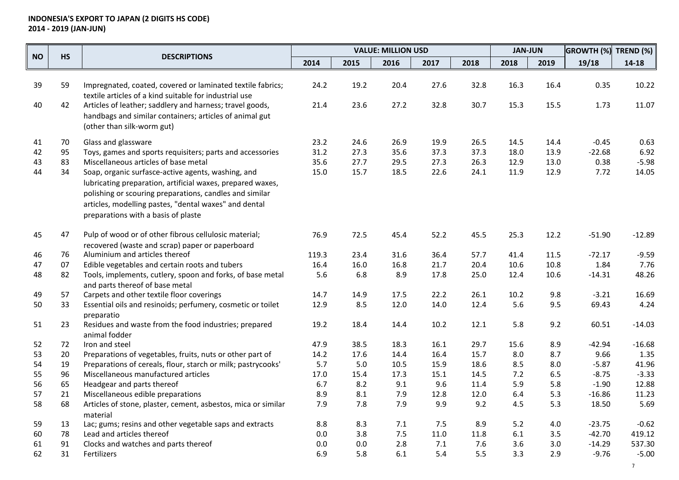|           | <b>HS</b> | <b>DESCRIPTIONS</b>                                                                                                                                                                                                                                                         |       |      | <b>VALUE: MILLION USD</b> |      |      | <b>JAN-JUN</b> |      | <b>GROWTH (%)</b> | <b>TREND (%)</b> |
|-----------|-----------|-----------------------------------------------------------------------------------------------------------------------------------------------------------------------------------------------------------------------------------------------------------------------------|-------|------|---------------------------|------|------|----------------|------|-------------------|------------------|
| <b>NO</b> |           |                                                                                                                                                                                                                                                                             | 2014  | 2015 | 2016                      | 2017 | 2018 | 2018           | 2019 | 19/18             | $14 - 18$        |
| 39        | 59        | Impregnated, coated, covered or laminated textile fabrics;<br>textile articles of a kind suitable for industrial use                                                                                                                                                        | 24.2  | 19.2 | 20.4                      | 27.6 | 32.8 | 16.3           | 16.4 | 0.35              | 10.22            |
| 40        | 42        | Articles of leather; saddlery and harness; travel goods,<br>handbags and similar containers; articles of animal gut<br>(other than silk-worm gut)                                                                                                                           | 21.4  | 23.6 | 27.2                      | 32.8 | 30.7 | 15.3           | 15.5 | 1.73              | 11.07            |
| 41        | 70        | Glass and glassware                                                                                                                                                                                                                                                         | 23.2  | 24.6 | 26.9                      | 19.9 | 26.5 | 14.5           | 14.4 | $-0.45$           | 0.63             |
| 42        | 95        | Toys, games and sports requisiters; parts and accessories                                                                                                                                                                                                                   | 31.2  | 27.3 | 35.6                      | 37.3 | 37.3 | 18.0           | 13.9 | $-22.68$          | 6.92             |
| 43        | 83        | Miscellaneous articles of base metal                                                                                                                                                                                                                                        | 35.6  | 27.7 | 29.5                      | 27.3 | 26.3 | 12.9           | 13.0 | 0.38              | $-5.98$          |
| 44        | 34        | Soap, organic surfasce-active agents, washing, and<br>lubricating preparation, artificial waxes, prepared waxes,<br>polishing or scouring preparations, candles and similar<br>articles, modelling pastes, "dental waxes" and dental<br>preparations with a basis of plaste | 15.0  | 15.7 | 18.5                      | 22.6 | 24.1 | 11.9           | 12.9 | 7.72              | 14.05            |
| 45        | 47        | Pulp of wood or of other fibrous cellulosic material;<br>recovered (waste and scrap) paper or paperboard                                                                                                                                                                    | 76.9  | 72.5 | 45.4                      | 52.2 | 45.5 | 25.3           | 12.2 | $-51.90$          | $-12.89$         |
| 46        | 76        | Aluminium and articles thereof                                                                                                                                                                                                                                              | 119.3 | 23.4 | 31.6                      | 36.4 | 57.7 | 41.4           | 11.5 | $-72.17$          | $-9.59$          |
| 47        | 07        | Edible vegetables and certain roots and tubers                                                                                                                                                                                                                              | 16.4  | 16.0 | 16.8                      | 21.7 | 20.4 | 10.6           | 10.8 | 1.84              | 7.76             |
| 48        | 82        | Tools, implements, cutlery, spoon and forks, of base metal<br>and parts thereof of base metal                                                                                                                                                                               | 5.6   | 6.8  | 8.9                       | 17.8 | 25.0 | 12.4           | 10.6 | $-14.31$          | 48.26            |
| 49        | 57        | Carpets and other textile floor coverings                                                                                                                                                                                                                                   | 14.7  | 14.9 | 17.5                      | 22.2 | 26.1 | 10.2           | 9.8  | $-3.21$           | 16.69            |
| 50        | 33        | Essential oils and resinoids; perfumery, cosmetic or toilet<br>preparatio                                                                                                                                                                                                   | 12.9  | 8.5  | 12.0                      | 14.0 | 12.4 | 5.6            | 9.5  | 69.43             | 4.24             |
| 51        | 23        | Residues and waste from the food industries; prepared<br>animal fodder                                                                                                                                                                                                      | 19.2  | 18.4 | 14.4                      | 10.2 | 12.1 | 5.8            | 9.2  | 60.51             | $-14.03$         |
| 52        | 72        | Iron and steel                                                                                                                                                                                                                                                              | 47.9  | 38.5 | 18.3                      | 16.1 | 29.7 | 15.6           | 8.9  | $-42.94$          | $-16.68$         |
| 53        | 20        | Preparations of vegetables, fruits, nuts or other part of                                                                                                                                                                                                                   | 14.2  | 17.6 | 14.4                      | 16.4 | 15.7 | 8.0            | 8.7  | 9.66              | 1.35             |
| 54        | 19        | Preparations of cereals, flour, starch or milk; pastrycooks'                                                                                                                                                                                                                | 5.7   | 5.0  | 10.5                      | 15.9 | 18.6 | 8.5            | 8.0  | $-5.87$           | 41.96            |
| 55        | 96        | Miscellaneous manufactured articles                                                                                                                                                                                                                                         | 17.0  | 15.4 | 17.3                      | 15.1 | 14.5 | 7.2            | 6.5  | $-8.75$           | $-3.33$          |
| 56        | 65        | Headgear and parts thereof                                                                                                                                                                                                                                                  | 6.7   | 8.2  | 9.1                       | 9.6  | 11.4 | 5.9            | 5.8  | $-1.90$           | 12.88            |
| 57        | 21        | Miscellaneous edible preparations                                                                                                                                                                                                                                           | 8.9   | 8.1  | 7.9                       | 12.8 | 12.0 | 6.4            | 5.3  | $-16.86$          | 11.23            |
| 58        | 68        | Articles of stone, plaster, cement, asbestos, mica or similar<br>material                                                                                                                                                                                                   | 7.9   | 7.8  | 7.9                       | 9.9  | 9.2  | 4.5            | 5.3  | 18.50             | 5.69             |
| 59        | 13        | Lac; gums; resins and other vegetable saps and extracts                                                                                                                                                                                                                     | 8.8   | 8.3  | 7.1                       | 7.5  | 8.9  | 5.2            | 4.0  | $-23.75$          | $-0.62$          |
| 60        | 78        | Lead and articles thereof                                                                                                                                                                                                                                                   | 0.0   | 3.8  | 7.5                       | 11.0 | 11.8 | $6.1\,$        | 3.5  | $-42.70$          | 419.12           |
| 61        | 91        | Clocks and watches and parts thereof                                                                                                                                                                                                                                        | 0.0   | 0.0  | 2.8                       | 7.1  | 7.6  | 3.6            | 3.0  | $-14.29$          | 537.30           |
| 62        | 31        | Fertilizers                                                                                                                                                                                                                                                                 | 6.9   | 5.8  | 6.1                       | 5.4  | 5.5  | 3.3            | 2.9  | $-9.76$           | $-5.00$          |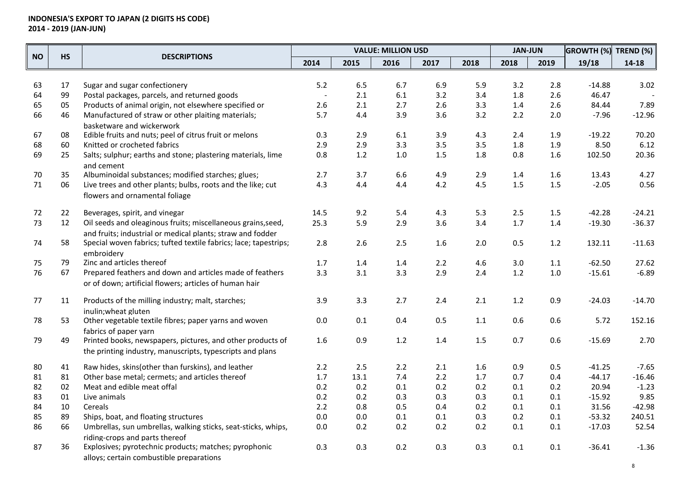|           | <b>HS</b> | <b>DESCRIPTIONS</b>                                              |      |         | <b>VALUE: MILLION USD</b> |         |      | <b>JAN-JUN</b> |         | <b>GROWTH (%)</b> TREND (%) |           |
|-----------|-----------|------------------------------------------------------------------|------|---------|---------------------------|---------|------|----------------|---------|-----------------------------|-----------|
| <b>NO</b> |           |                                                                  | 2014 | 2015    | 2016                      | 2017    | 2018 | 2018           | 2019    | 19/18                       | $14 - 18$ |
|           |           |                                                                  |      |         |                           |         |      |                |         |                             |           |
| 63        | 17        | Sugar and sugar confectionery                                    | 5.2  | 6.5     | 6.7                       | 6.9     | 5.9  | 3.2            | 2.8     | $-14.88$                    | 3.02      |
| 64        | 99        | Postal packages, parcels, and returned goods                     |      | 2.1     | 6.1                       | 3.2     | 3.4  | 1.8            | 2.6     | 46.47                       |           |
| 65        | 05        | Products of animal origin, not elsewhere specified or            | 2.6  | 2.1     | 2.7                       | 2.6     | 3.3  | 1.4            | 2.6     | 84.44                       | 7.89      |
| 66        | 46        | Manufactured of straw or other plaiting materials;               | 5.7  | 4.4     | 3.9                       | 3.6     | 3.2  | 2.2            | 2.0     | $-7.96$                     | $-12.96$  |
|           |           | basketware and wickerwork                                        |      |         |                           |         |      |                |         |                             |           |
| 67        | 08        | Edible fruits and nuts; peel of citrus fruit or melons           | 0.3  | 2.9     | 6.1                       | 3.9     | 4.3  | 2.4            | 1.9     | $-19.22$                    | 70.20     |
| 68        | 60        | Knitted or crocheted fabrics                                     | 2.9  | 2.9     | 3.3                       | 3.5     | 3.5  | 1.8            | 1.9     | 8.50                        | 6.12      |
| 69        | 25        | Salts; sulphur; earths and stone; plastering materials, lime     | 0.8  | 1.2     | $1.0\,$                   | 1.5     | 1.8  | 0.8            | 1.6     | 102.50                      | 20.36     |
|           |           | and cement                                                       |      |         |                           |         |      |                |         |                             |           |
| 70        | 35        | Albuminoidal substances; modified starches; glues;               | 2.7  | 3.7     | 6.6                       | 4.9     | 2.9  | 1.4            | 1.6     | 13.43                       | 4.27      |
| 71        | 06        | Live trees and other plants; bulbs, roots and the like; cut      | 4.3  | 4.4     | 4.4                       | 4.2     | 4.5  | 1.5            | 1.5     | $-2.05$                     | 0.56      |
|           |           | flowers and ornamental foliage                                   |      |         |                           |         |      |                |         |                             |           |
| 72        | 22        | Beverages, spirit, and vinegar                                   | 14.5 | 9.2     | 5.4                       | 4.3     | 5.3  | 2.5            | $1.5\,$ | $-42.28$                    | $-24.21$  |
| 73        | 12        | Oil seeds and oleaginous fruits; miscellaneous grains, seed,     | 25.3 | 5.9     | 2.9                       | 3.6     | 3.4  | $1.7$          | 1.4     | $-19.30$                    | $-36.37$  |
|           |           | and fruits; industrial or medical plants; straw and fodder       |      |         |                           |         |      |                |         |                             |           |
| 74        | 58        | Special woven fabrics; tufted textile fabrics; lace; tapestrips; | 2.8  | 2.6     | $2.5$                     | 1.6     | 2.0  | 0.5            | 1.2     | 132.11                      | $-11.63$  |
|           |           | embroiderv                                                       |      |         |                           |         |      |                |         |                             |           |
| 75        | 79        | Zinc and articles thereof                                        | 1.7  | 1.4     | 1.4                       | $2.2$   | 4.6  | 3.0            | 1.1     | $-62.50$                    | 27.62     |
| 76        | 67        | Prepared feathers and down and articles made of feathers         | 3.3  | 3.1     | 3.3                       | 2.9     | 2.4  | 1.2            | $1.0\,$ | $-15.61$                    | $-6.89$   |
|           |           | or of down; artificial flowers; articles of human hair           |      |         |                           |         |      |                |         |                             |           |
| 77        | 11        | Products of the milling industry; malt, starches;                | 3.9  | 3.3     | 2.7                       | 2.4     | 2.1  | 1.2            | 0.9     | $-24.03$                    | $-14.70$  |
|           |           | inulin; wheat gluten                                             |      |         |                           |         |      |                |         |                             |           |
| 78        | 53        | Other vegetable textile fibres; paper yarns and woven            | 0.0  | 0.1     | 0.4                       | $0.5\,$ | 1.1  | 0.6            | 0.6     | 5.72                        | 152.16    |
|           |           | fabrics of paper yarn                                            |      |         |                           |         |      |                |         |                             |           |
| 79        | 49        | Printed books, newspapers, pictures, and other products of       | 1.6  | 0.9     | $1.2\,$                   | 1.4     | 1.5  | 0.7            | 0.6     | $-15.69$                    | 2.70      |
|           |           | the printing industry, manuscripts, typescripts and plans        |      |         |                           |         |      |                |         |                             |           |
| 80        | 41        | Raw hides, skins(other than furskins), and leather               | 2.2  | 2.5     | 2.2                       | 2.1     | 1.6  | 0.9            | 0.5     | $-41.25$                    | $-7.65$   |
| 81        | 81        | Other base metal; cermets; and articles thereof                  | 1.7  | 13.1    | 7.4                       | 2.2     | 1.7  | 0.7            | 0.4     | $-44.17$                    | $-16.46$  |
| 82        | 02        | Meat and edible meat offal                                       | 0.2  | 0.2     | 0.1                       | 0.2     | 0.2  | 0.1            | 0.2     | 20.94                       | $-1.23$   |
| 83        | 01        | Live animals                                                     | 0.2  | 0.2     | 0.3                       | 0.3     | 0.3  | 0.1            | 0.1     | $-15.92$                    | 9.85      |
| 84        | 10        | Cereals                                                          | 2.2  | 0.8     | 0.5                       | 0.4     | 0.2  | 0.1            | 0.1     | 31.56                       | $-42.98$  |
| 85        | 89        | Ships, boat, and floating structures                             | 0.0  | $0.0\,$ | $0.1\,$                   | 0.1     | 0.3  | 0.2            | 0.1     | $-53.32$                    | 240.51    |
| 86        | 66        | Umbrellas, sun umbrellas, walking sticks, seat-sticks, whips,    | 0.0  | 0.2     | 0.2                       | 0.2     | 0.2  | 0.1            | 0.1     | $-17.03$                    | 52.54     |
|           |           | riding-crops and parts thereof                                   |      |         |                           |         |      |                |         |                             |           |
| 87        | 36        | Explosives; pyrotechnic products; matches; pyrophonic            | 0.3  | 0.3     | 0.2                       | 0.3     | 0.3  | 0.1            | 0.1     | $-36.41$                    | $-1.36$   |
|           |           | alloys; certain combustible preparations                         |      |         |                           |         |      |                |         |                             |           |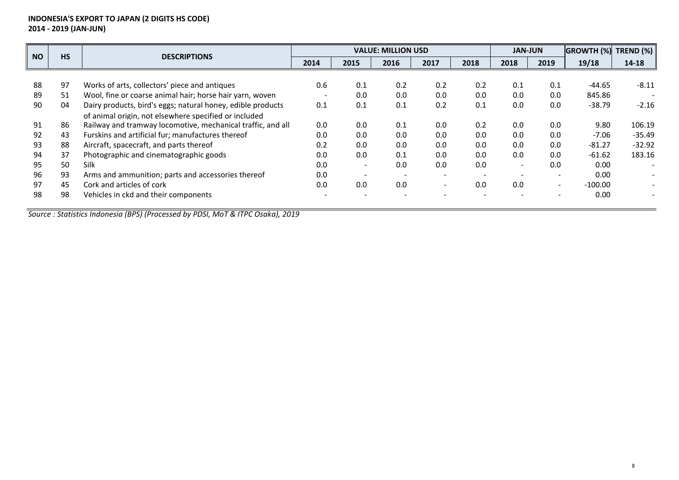| <b>NO</b> | <b>HS</b> | <b>DESCRIPTIONS</b>                                         |                          |                          | <b>VALUE: MILLION USD</b> |      |      | <b>JAN-JUN</b> |                          | <b>GROWTH (%)</b> | TREND $(\%)$ |
|-----------|-----------|-------------------------------------------------------------|--------------------------|--------------------------|---------------------------|------|------|----------------|--------------------------|-------------------|--------------|
|           |           |                                                             | 2014                     | 2015                     | 2016                      | 2017 | 2018 | 2018           | 2019                     | 19/18             | $14 - 18$    |
|           |           |                                                             |                          |                          |                           |      |      |                |                          |                   |              |
| 88        | 97        | Works of arts, collectors' piece and antiques               | 0.6                      | 0.1                      | 0.2                       | 0.2  | 0.2  | 0.1            | 0.1                      | -44.65            | $-8.11$      |
| 89        | 51        | Wool, fine or coarse animal hair; horse hair yarn, woven    | $\overline{\phantom{a}}$ | 0.0                      | 0.0                       | 0.0  | 0.0  | 0.0            | 0.0                      | 845.86            |              |
| 90        | 04        | Dairy products, bird's eggs; natural honey, edible products | 0.1                      | 0.1                      | 0.1                       | 0.2  | 0.1  | 0.0            | 0.0                      | $-38.79$          | $-2.16$      |
|           |           | of animal origin, not elsewhere specified or included       |                          |                          |                           |      |      |                |                          |                   |              |
| 91        | 86        | Railway and tramway locomotive, mechanical traffic, and all | 0.0                      | 0.0                      | 0.1                       | 0.0  | 0.2  | 0.0            | 0.0                      | 9.80              | 106.19       |
| 92        | 43        | Furskins and artificial fur; manufactures thereof           | 0.0                      | 0.0                      | 0.0                       | 0.0  | 0.0  | 0.0            | 0.0                      | $-7.06$           | $-35.49$     |
| 93        | 88        | Aircraft, spacecraft, and parts thereof                     | 0.2                      | 0.0                      | 0.0                       | 0.0  | 0.0  | 0.0            | 0.0                      | $-81.27$          | $-32.92$     |
| 94        | 37        | Photographic and cinematographic goods                      | 0.0                      | 0.0                      | 0.1                       | 0.0  | 0.0  | 0.0            | 0.0                      | $-61.62$          | 183.16       |
| 95        | 50        | <b>Silk</b>                                                 | 0.0                      | $\overline{\phantom{a}}$ | 0.0                       | 0.0  | 0.0  |                | 0.0                      | 0.00              |              |
| 96        | 93        | Arms and ammunition; parts and accessories thereof          | 0.0                      |                          |                           |      |      |                |                          | 0.00              |              |
| 97        | 45        | Cork and articles of cork                                   | 0.0                      | 0.0                      | 0.0                       |      | 0.0  | 0.0            | $\overline{\phantom{0}}$ | $-100.00$         |              |
| 98        | 98        | Vehicles in ckd and their components                        |                          |                          |                           |      |      |                |                          | 0.00              |              |
|           |           |                                                             |                          |                          |                           |      |      |                |                          |                   |              |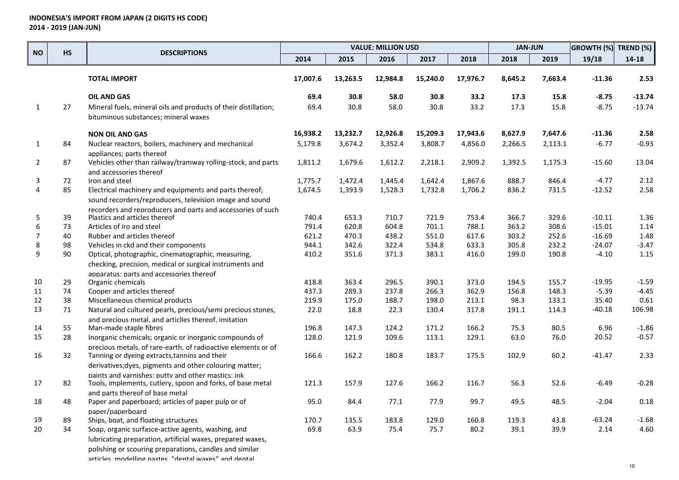|                |           | <b>DESCRIPTIONS</b>                                                              |          |                | <b>VALUE: MILLION USD</b> |                |                | <b>JAN-JUN</b> |                | GROWTH (%) TREND (%) |           |
|----------------|-----------|----------------------------------------------------------------------------------|----------|----------------|---------------------------|----------------|----------------|----------------|----------------|----------------------|-----------|
| <b>NO</b>      | <b>HS</b> |                                                                                  | 2014     | 2015           | 2016                      | 2017           | 2018           | 2018           | 2019           | 19/18                | $14 - 18$ |
|                |           | <b>TOTAL IMPORT</b>                                                              | 17,007.6 | 13,263.5       | 12,984.8                  | 15,240.0       | 17,976.7       | 8,645.2        | 7,663.4        | $-11.36$             | 2.53      |
|                |           | <b>OIL AND GAS</b>                                                               | 69.4     | 30.8           | 58.0                      | 30.8           | 33.2           | 17.3           | 15.8           | -8.75                | $-13.74$  |
| $\mathbf{1}$   | 27        | Mineral fuels, mineral oils and products of their distillation;                  | 69.4     | 30.8           | 58.0                      | 30.8           | 33.2           | 17.3           | 15.8           | $-8.75$              | $-13.74$  |
|                |           | bituminous substances; mineral waxes                                             |          |                |                           |                |                |                |                |                      |           |
|                |           | <b>NON OIL AND GAS</b>                                                           | 16,938.2 | 13,232.7       | 12,926.8                  | 15,209.3       | 17,943.6       | 8,627.9        | 7,647.6        | -11.36               | 2.58      |
| 1              | 84        | Nuclear reactors, boilers, machinery and mechanical<br>appliances; parts thereof | 5,179.8  | 3,674.2        | 3,352.4                   | 3,808.7        | 4,856.0        | 2,266.5        | 2,113.1        | $-6.77$              | $-0.93$   |
| $\overline{2}$ | 87        | Vehicles other than railway/tramway rolling-stock, and parts                     | 1,811.2  | 1,679.6        | 1,612.2                   | 2,218.1        | 2,909.2        | 1,392.5        | 1,175.3        | $-15.60$             | 13.04     |
|                |           | and accessories thereof                                                          |          |                |                           |                |                |                |                |                      |           |
| 3              | 72        | Iron and steel                                                                   | 1,775.7  | 1,472.4        | 1,445.4                   | 1,642.4        | 1,867.6        | 888.7          | 846.4          | $-4.77$              | 2.12      |
| 4              | 85        | Electrical machinery and equipments and parts thereof;                           | 1,674.5  | 1,393.9        | 1,528.3                   | 1,732.8        | 1,706.2        | 836.2          | 731.5          | $-12.52$             | 2.58      |
|                |           | sound recorders/reproducers, television image and sound                          |          |                |                           |                |                |                |                |                      |           |
| 5              |           | recorders and reproducers and parts and accessories of such                      | 740.4    |                | 710.7                     |                |                |                |                | $-10.11$             | 1.36      |
| 6              | 39<br>73  | Plastics and articles thereof<br>Articles of iro and steel                       | 791.4    | 653.3<br>620.8 | 604.8                     | 721.9<br>701.1 | 753.4<br>788.1 | 366.7<br>363.2 | 329.6<br>308.6 | $-15.01$             | 1.14      |
| $\overline{7}$ | 40        | Rubber and articles thereof                                                      | 621.2    | 470.3          | 438.2                     | 551.0          | 617.6          | 303.2          | 252.6          | $-16.69$             | 1.48      |
| 8              | 98        | Vehicles in ckd and their components                                             | 944.1    | 342.6          | 322.4                     | 534.8          | 633.3          | 305.8          | 232.2          | -24.07               | $-3.47$   |
| 9              | 90        | Optical, photographic, cinematographic, measuring,                               | 410.2    | 351.6          | 371.3                     | 383.1          | 416.0          | 199.0          | 190.8          | $-4.10$              | 1.15      |
|                |           | checking, precision, medical or surgical instruments and                         |          |                |                           |                |                |                |                |                      |           |
|                |           | apparatus: parts and accessories thereof                                         |          |                |                           |                |                |                |                |                      |           |
| 10             | 29        | Organic chemicals                                                                | 418.8    | 363.4          | 296.5                     | 390.1          | 373.0          | 194.5          | 155.7          | $-19.95$             | $-1.59$   |
| 11             | 74        | Cooper and articles thereof                                                      | 437.3    | 289.3          | 237.8                     | 266.3          | 362.9          | 156.8          | 148.3          | $-5.39$              | $-4.45$   |
| 12             | 38        | Miscellaneous chemical products                                                  | 219.9    | 175.0          | 188.7                     | 198.0          | 213.1          | 98.3           | 133.1          | 35.40                | 0.61      |
| 13             | 71        | Natural and cultured pearls, precious/semi precious stones,                      | 22.0     | 18.8           | 22.3                      | 130.4          | 317.8          | 191.1          | 114.3          | -40.18               | 106.98    |
|                |           | and precious metal, and articlles thereof, imitation                             |          |                |                           |                |                |                |                |                      |           |
| 14             | 55        | Man-made staple fibres                                                           | 196.8    | 147.3          | 124.2                     | 171.2          | 166.2          | 75.3           | 80.5           | 6.96                 | $-1.86$   |
| 15             | 28        | Inorganic chemicals; organic or inorganic compounds of                           | 128.0    | 121.9          | 109.6                     | 113.1          | 129.1          | 63.0           | 76.0           | 20.52                | $-0.57$   |
|                |           | precious metals, of rare-earth, of radioactive elements or of                    |          |                |                           |                |                |                |                |                      |           |
| 16             | 32        | Tanning or dyeing extracts, tannins and their                                    | 166.6    | 162.2          | 180.8                     | 183.7          | 175.5          | 102.9          | 60.2           | -41.47               | 2.33      |
|                |           | derivatives; dyes, pigments and other colouring matter;                          |          |                |                           |                |                |                |                |                      |           |
|                |           | paints and varnishes: putty and other mastics: ink                               |          |                |                           |                |                |                |                |                      |           |
| 17             | 82        | Tools, implements, cutlery, spoon and forks, of base metal                       | 121.3    | 157.9          | 127.6                     | 166.2          | 116.7          | 56.3           | 52.6           | $-6.49$              | $-0.28$   |
|                |           | and parts thereof of base metal                                                  |          |                |                           |                |                |                |                |                      |           |
| 18             | 48        | Paper and paperboard; articles of paper pulp or of                               | 95.0     | 84.4           | 77.1                      | 77.9           | 99.7           | 49.5           | 48.5           | $-2.04$              | 0.18      |
|                |           | paper/paperboard                                                                 |          |                |                           |                |                |                |                |                      |           |
| 19             | 89<br>34  | Ships, boat, and floating structures                                             | 170.7    | 135.5          | 183.8                     | 129.0          | 160.8          | 119.3          | 43.8           | -63.24               | $-1.68$   |
| 20             |           | Soap, organic surfasce-active agents, washing, and                               | 69.8     | 63.9           | 75.4                      | 75.7           | 80.2           | 39.1           | 39.9           | 2.14                 | 4.60      |
|                |           | lubricating preparation, artificial waxes, prepared waxes,                       |          |                |                           |                |                |                |                |                      |           |
|                |           | polishing or scouring preparations, candles and similar                          |          |                |                           |                |                |                |                |                      |           |
|                |           | articles modelling nastes "dental wayes" and dental                              |          |                |                           |                |                |                |                |                      |           |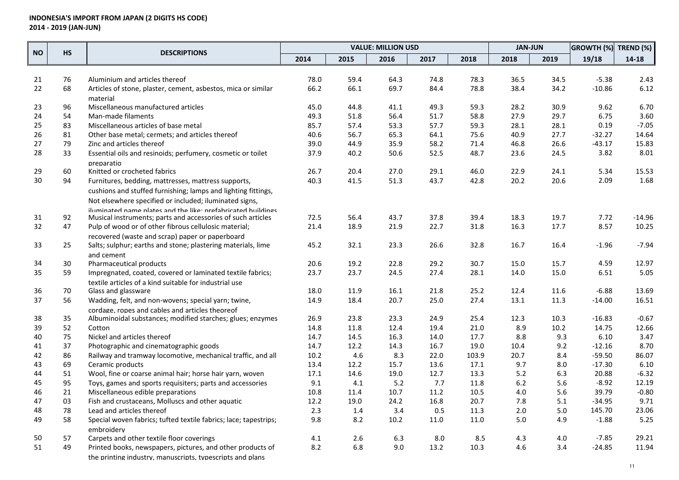|           |           |                                                                  |      |      | <b>VALUE: MILLION USD</b> |      |       | <b>JAN-JUN</b> |      | <b>GROWTH (%)</b> | TREND (%) |
|-----------|-----------|------------------------------------------------------------------|------|------|---------------------------|------|-------|----------------|------|-------------------|-----------|
| <b>NO</b> | <b>HS</b> | <b>DESCRIPTIONS</b>                                              | 2014 | 2015 | 2016                      | 2017 | 2018  | 2018           | 2019 | 19/18             | 14-18     |
|           |           |                                                                  |      |      |                           |      |       |                |      |                   |           |
| 21        | 76        | Aluminium and articles thereof                                   | 78.0 | 59.4 | 64.3                      | 74.8 | 78.3  | 36.5           | 34.5 | $-5.38$           | 2.43      |
| 22        | 68        | Articles of stone, plaster, cement, asbestos, mica or similar    | 66.2 | 66.1 | 69.7                      | 84.4 | 78.8  | 38.4           | 34.2 | $-10.86$          | 6.12      |
|           |           | material                                                         |      |      |                           |      |       |                |      |                   |           |
| 23        | 96        | Miscellaneous manufactured articles                              | 45.0 | 44.8 | 41.1                      | 49.3 | 59.3  | 28.2           | 30.9 | 9.62              | 6.70      |
| 24        | 54        | Man-made filaments                                               | 49.3 | 51.8 | 56.4                      | 51.7 | 58.8  | 27.9           | 29.7 | 6.75              | 3.60      |
| 25        | 83        | Miscellaneous articles of base metal                             | 85.7 | 57.4 | 53.3                      | 57.7 | 59.3  | 28.1           | 28.1 | 0.19              | $-7.05$   |
| 26        | 81        | Other base metal; cermets; and articles thereof                  | 40.6 | 56.7 | 65.3                      | 64.1 | 75.6  | 40.9           | 27.7 | $-32.27$          | 14.64     |
| 27        | 79        | Zinc and articles thereof                                        | 39.0 | 44.9 | 35.9                      | 58.2 | 71.4  | 46.8           | 26.6 | $-43.17$          | 15.83     |
| 28        | 33        | Essential oils and resinoids; perfumery, cosmetic or toilet      | 37.9 | 40.2 | 50.6                      | 52.5 | 48.7  | 23.6           | 24.5 | 3.82              | 8.01      |
| 29        | 60        | preparatio<br>Knitted or crocheted fabrics                       | 26.7 | 20.4 | 27.0                      | 29.1 | 46.0  | 22.9           | 24.1 | 5.34              | 15.53     |
| 30        | 94        | Furnitures, bedding, mattresses, mattress supports,              | 40.3 | 41.5 | 51.3                      | 43.7 | 42.8  | 20.2           | 20.6 | 2.09              | 1.68      |
|           |           | cushions and stuffed furnishing; lamps and lighting fittings,    |      |      |                           |      |       |                |      |                   |           |
|           |           | Not elsewhere specified or included; iluminated signs,           |      |      |                           |      |       |                |      |                   |           |
|           |           | iluminated name nlates and the like: prefahricated huildings     |      |      |                           |      |       |                |      |                   |           |
| 31        | 92        | Musical instruments; parts and accessories of such articles      | 72.5 | 56.4 | 43.7                      | 37.8 | 39.4  | 18.3           | 19.7 | 7.72              | $-14.96$  |
| 32        | 47        | Pulp of wood or of other fibrous cellulosic material;            | 21.4 | 18.9 | 21.9                      | 22.7 | 31.8  | 16.3           | 17.7 | 8.57              | 10.25     |
|           |           | recovered (waste and scrap) paper or paperboard                  |      |      |                           |      |       |                |      |                   |           |
| 33        | 25        | Salts; sulphur; earths and stone; plastering materials, lime     | 45.2 | 32.1 | 23.3                      | 26.6 | 32.8  | 16.7           | 16.4 | $-1.96$           | $-7.94$   |
|           |           | and cement                                                       |      |      |                           |      |       |                |      |                   |           |
| 34        | 30        | Pharmaceutical products                                          | 20.6 | 19.2 | 22.8                      | 29.2 | 30.7  | 15.0           | 15.7 | 4.59              | 12.97     |
| 35        | 59        | Impregnated, coated, covered or laminated textile fabrics;       | 23.7 | 23.7 | 24.5                      | 27.4 | 28.1  | 14.0           | 15.0 | 6.51              | 5.05      |
|           |           | textile articles of a kind suitable for industrial use           |      |      |                           |      |       |                |      |                   |           |
| 36        | 70        | Glass and glassware                                              | 18.0 | 11.9 | 16.1                      | 21.8 | 25.2  | 12.4           | 11.6 | $-6.88$           | 13.69     |
| 37        | 56        | Wadding, felt, and non-wovens; special yarn; twine,              | 14.9 | 18.4 | 20.7                      | 25.0 | 27.4  | 13.1           | 11.3 | $-14.00$          | 16.51     |
|           |           | cordage, ropes and cables and articles theoreof                  |      |      |                           |      |       |                |      |                   |           |
| 38        | 35        | Albuminoidal substances; modified starches; glues; enzymes       | 26.9 | 23.8 | 23.3                      | 24.9 | 25.4  | 12.3           | 10.3 | $-16.83$          | $-0.67$   |
| 39        | 52        | Cotton                                                           | 14.8 | 11.8 | 12.4                      | 19.4 | 21.0  | 8.9            | 10.2 | 14.75             | 12.66     |
| 40        | 75        | Nickel and articles thereof                                      | 14.7 | 14.5 | 16.3                      | 14.0 | 17.7  | 8.8            | 9.3  | 6.10              | 3.47      |
| 41        | 37        | Photographic and cinematographic goods                           | 14.7 | 12.2 | 14.3                      | 16.7 | 19.0  | 10.4           | 9.2  | $-12.16$          | 8.70      |
| 42        | 86        | Railway and tramway locomotive, mechanical traffic, and all      | 10.2 | 4.6  | 8.3                       | 22.0 | 103.9 | 20.7           | 8.4  | $-59.50$          | 86.07     |
| 43        | 69        | Ceramic products                                                 | 13.4 | 12.2 | 15.7                      | 13.6 | 17.1  | 9.7            | 8.0  | $-17.30$          | 6.10      |
| 44        | 51        | Wool, fine or coarse animal hair; horse hair yarn, woven         | 17.1 | 14.6 | 19.0                      | 12.7 | 13.3  | 5.2            | 6.3  | 20.88             | $-6.32$   |
| 45        | 95        | Toys, games and sports requisiters; parts and accessories        | 9.1  | 4.1  | 5.2                       | 7.7  | 11.8  | $6.2$          | 5.6  | $-8.92$           | 12.19     |
| 46        | 21        | Miscellaneous edible preparations                                | 10.8 | 11.4 | 10.7                      | 11.2 | 10.5  | $4.0\,$        | 5.6  | 39.79             | $-0.80$   |
| 47        | 03        | Fish and crustaceans, Molluscs and other aquatic                 | 12.2 | 19.0 | 24.2                      | 16.8 | 20.7  | 7.8            | 5.1  | $-34.95$          | 9.71      |
| 48        | 78        | Lead and articles thereof                                        | 2.3  | 1.4  | 3.4                       | 0.5  | 11.3  | 2.0            | 5.0  | 145.70            | 23.06     |
| 49        | 58        | Special woven fabrics; tufted textile fabrics; lace; tapestrips; | 9.8  | 8.2  | 10.2                      | 11.0 | 11.0  | 5.0            | 4.9  | $-1.88$           | 5.25      |
|           |           | embroiderv                                                       |      |      |                           |      |       |                |      |                   |           |
| 50        | 57        | Carpets and other textile floor coverings                        | 4.1  | 2.6  | 6.3                       | 8.0  | 8.5   | 4.3            | 4.0  | $-7.85$           | 29.21     |
| 51        | 49        | Printed books, newspapers, pictures, and other products of       | 8.2  | 6.8  | 9.0                       | 13.2 | 10.3  | 4.6            | 3.4  | $-24.85$          | 11.94     |
|           |           | the printing industry, manuscripts, typescripts and plans        |      |      |                           |      |       |                |      |                   |           |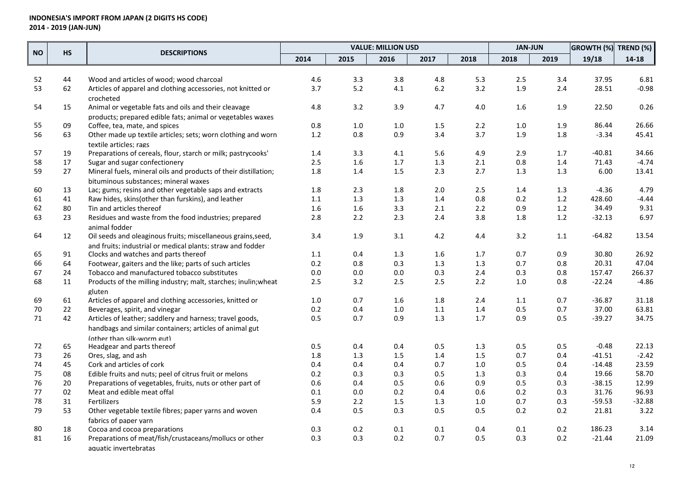|           |    |                                                                        |         |         | <b>VALUE: MILLION USD</b> |         |      | <b>JAN-JUN</b> |      | <b>GROWTH (%)</b> | TREND (%) |
|-----------|----|------------------------------------------------------------------------|---------|---------|---------------------------|---------|------|----------------|------|-------------------|-----------|
| <b>NO</b> | HS | <b>DESCRIPTIONS</b>                                                    | 2014    | 2015    | 2016                      | 2017    | 2018 | 2018           | 2019 | 19/18             | 14-18     |
|           |    |                                                                        |         |         |                           |         |      |                |      |                   |           |
| 52        | 44 | Wood and articles of wood; wood charcoal                               | 4.6     | 3.3     | 3.8                       | 4.8     | 5.3  | 2.5            | 3.4  | 37.95             | 6.81      |
| 53        | 62 | Articles of apparel and clothing accessories, not knitted or           | 3.7     | 5.2     | 4.1                       | $6.2$   | 3.2  | 1.9            | 2.4  | 28.51             | $-0.98$   |
|           |    | crocheted                                                              |         |         |                           |         |      |                |      |                   |           |
| 54        | 15 | Animal or vegetable fats and oils and their cleavage                   | 4.8     | 3.2     | 3.9                       | 4.7     | 4.0  | 1.6            | 1.9  | 22.50             | 0.26      |
|           |    | products: prepared edible fats: animal or vegetables waxes             |         |         |                           |         |      |                |      |                   |           |
| 55        | 09 | Coffee, tea, mate, and spices                                          | 0.8     | $1.0\,$ | $1.0\,$                   | 1.5     | 2.2  | $1.0\,$        | 1.9  | 86.44             | 26.66     |
| 56        | 63 | Other made up textile articles; sets; worn clothing and worn           | 1.2     | 0.8     | 0.9                       | 3.4     | 3.7  | 1.9            | 1.8  | $-3.34$           | 45.41     |
|           |    | textile articles; rags                                                 |         |         |                           |         |      |                |      |                   |           |
| 57        | 19 | Preparations of cereals, flour, starch or milk; pastrycooks'           | 1.4     | 3.3     | 4.1                       | 5.6     | 4.9  | 2.9            | 1.7  | -40.81            | 34.66     |
| 58        | 17 | Sugar and sugar confectionery                                          | 2.5     | 1.6     | $1.7\,$                   | 1.3     | 2.1  | 0.8            | 1.4  | 71.43             | $-4.74$   |
| 59        | 27 | Mineral fuels, mineral oils and products of their distillation;        | 1.8     | 1.4     | 1.5                       | 2.3     | 2.7  | 1.3            | 1.3  | 6.00              | 13.41     |
|           |    | bituminous substances; mineral waxes                                   |         |         |                           |         |      |                |      |                   |           |
| 60        | 13 | Lac; gums; resins and other vegetable saps and extracts                | 1.8     | 2.3     | 1.8                       | 2.0     | 2.5  | 1.4            | 1.3  | $-4.36$           | 4.79      |
| 61        | 41 | Raw hides, skins(other than furskins), and leather                     | $1.1\,$ | 1.3     | $1.3\,$                   | 1.4     | 0.8  | 0.2            | 1.2  | 428.60            | $-4.44$   |
| 62        | 80 | Tin and articles thereof                                               | 1.6     | 1.6     | 3.3                       | 2.1     | 2.2  | 0.9            | 1.2  | 34.49             | 9.31      |
| 63        | 23 | Residues and waste from the food industries; prepared<br>animal fodder | 2.8     | 2.2     | 2.3                       | 2.4     | 3.8  | 1.8            | 1.2  | $-32.13$          | 6.97      |
| 64        | 12 | Oil seeds and oleaginous fruits; miscellaneous grains, seed,           | 3.4     | 1.9     | 3.1                       | 4.2     | 4.4  | 3.2            | 1.1  | $-64.82$          | 13.54     |
|           |    | and fruits: industrial or medical plants: straw and fodder             |         |         |                           |         |      |                |      |                   |           |
| 65        | 91 | Clocks and watches and parts thereof                                   | 1.1     | 0.4     | 1.3                       | 1.6     | 1.7  | 0.7            | 0.9  | 30.80             | 26.92     |
| 66        | 64 | Footwear, gaiters and the like; parts of such articles                 | 0.2     | 0.8     | 0.3                       | 1.3     | 1.3  | 0.7            | 0.8  | 20.31             | 47.04     |
| 67        | 24 | Tobacco and manufactured tobacco substitutes                           | 0.0     | 0.0     | $0.0\,$                   | 0.3     | 2.4  | 0.3            | 0.8  | 157.47            | 266.37    |
| 68        | 11 | Products of the milling industry; malt, starches; inulin; wheat        | 2.5     | 3.2     | 2.5                       | 2.5     | 2.2  | $1.0\,$        | 0.8  | $-22.24$          | $-4.86$   |
|           |    | gluten                                                                 |         |         |                           |         |      |                |      |                   |           |
| 69        | 61 | Articles of apparel and clothing accessories, knitted or               | 1.0     | 0.7     | 1.6                       | 1.8     | 2.4  | 1.1            | 0.7  | $-36.87$          | 31.18     |
| 70        | 22 | Beverages, spirit, and vinegar                                         | 0.2     | 0.4     | 1.0                       | 1.1     | 1.4  | 0.5            | 0.7  | 37.00             | 63.81     |
| 71        | 42 | Articles of leather; saddlery and harness; travel goods,               | 0.5     | 0.7     | 0.9                       | 1.3     | 1.7  | 0.9            | 0.5  | $-39.27$          | 34.75     |
|           |    | handbags and similar containers; articles of animal gut                |         |         |                           |         |      |                |      |                   |           |
|           |    | (other than silk-worm gut)                                             |         |         |                           |         |      |                |      |                   |           |
| 72        | 65 | Headgear and parts thereof                                             | 0.5     | 0.4     | 0.4                       | 0.5     | 1.3  | 0.5            | 0.5  | $-0.48$           | 22.13     |
| 73        | 26 | Ores, slag, and ash                                                    | 1.8     | 1.3     | 1.5                       | 1.4     | 1.5  | 0.7            | 0.4  | $-41.51$          | $-2.42$   |
| 74        | 45 | Cork and articles of cork                                              | 0.4     | 0.4     | 0.4                       | 0.7     | 1.0  | 0.5            | 0.4  | $-14.48$          | 23.59     |
| 75        | 08 | Edible fruits and nuts; peel of citrus fruit or melons                 | 0.2     | 0.3     | 0.3                       | 0.5     | 1.3  | 0.3            | 0.4  | 19.66             | 58.70     |
| 76        | 20 | Preparations of vegetables, fruits, nuts or other part of              | 0.6     | 0.4     | 0.5                       | 0.6     | 0.9  | 0.5            | 0.3  | $-38.15$          | 12.99     |
| 77        | 02 | Meat and edible meat offal                                             | 0.1     | 0.0     | 0.2                       | 0.4     | 0.6  | 0.2            | 0.3  | 31.76             | 96.93     |
| 78        | 31 | Fertilizers                                                            | 5.9     | 2.2     | 1.5                       | 1.3     | 1.0  | 0.7            | 0.3  | $-59.53$          | $-32.88$  |
| 79        | 53 | Other vegetable textile fibres; paper yarns and woven                  | 0.4     | 0.5     | 0.3                       | 0.5     | 0.5  | 0.2            | 0.2  | 21.81             | 3.22      |
|           |    | fabrics of paper varn                                                  |         |         |                           |         |      |                |      |                   |           |
| 80        | 18 | Cocoa and cocoa preparations                                           | 0.3     | 0.2     | $0.1\,$                   | $0.1\,$ | 0.4  | $0.1\,$        | 0.2  | 186.23            | 3.14      |
| 81        | 16 | Preparations of meat/fish/crustaceans/mollucs or other                 | 0.3     | 0.3     | 0.2                       | 0.7     | 0.5  | 0.3            | 0.2  | $-21.44$          | 21.09     |
|           |    | aquatic invertebratas                                                  |         |         |                           |         |      |                |      |                   |           |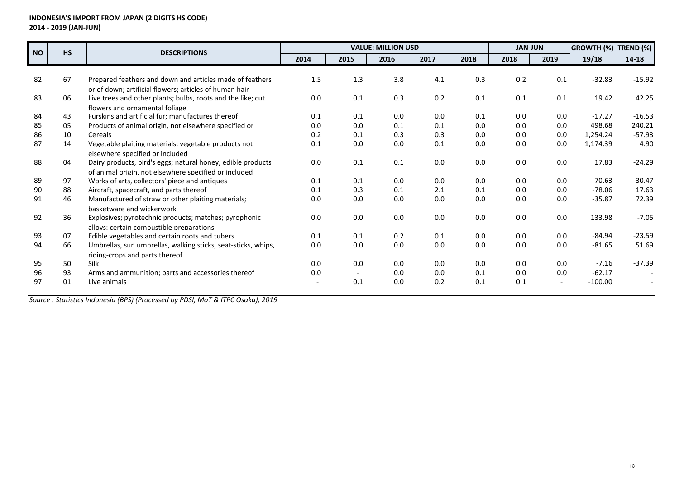| <b>NO</b> | <b>HS</b><br><b>DESCRIPTIONS</b> |                                                               |      | <b>VALUE: MILLION USD</b> |      |      |         |      |      | <b>GROWTH (%)</b> | <b>TREND (%)</b> |
|-----------|----------------------------------|---------------------------------------------------------------|------|---------------------------|------|------|---------|------|------|-------------------|------------------|
|           |                                  |                                                               | 2014 | 2015                      | 2016 | 2017 | 2018    | 2018 | 2019 | 19/18             | 14-18            |
|           |                                  |                                                               |      |                           |      |      |         |      |      |                   |                  |
| 82        | 67                               | Prepared feathers and down and articles made of feathers      | 1.5  | 1.3                       | 3.8  | 4.1  | 0.3     | 0.2  | 0.1  | $-32.83$          | $-15.92$         |
|           |                                  | or of down: artificial flowers: articles of human hair        |      |                           |      |      |         |      |      |                   |                  |
| 83        | 06                               | Live trees and other plants; bulbs, roots and the like; cut   | 0.0  | 0.1                       | 0.3  | 0.2  | 0.1     | 0.1  | 0.1  | 19.42             | 42.25            |
|           |                                  | flowers and ornamental foliage                                |      |                           |      |      |         |      |      |                   |                  |
| 84        | 43                               | Furskins and artificial fur; manufactures thereof             | 0.1  | 0.1                       | 0.0  | 0.0  | 0.1     | 0.0  | 0.0  | $-17.27$          | $-16.53$         |
| 85        | 05                               | Products of animal origin, not elsewhere specified or         | 0.0  | 0.0                       | 0.1  | 0.1  | 0.0     | 0.0  | 0.0  | 498.68            | 240.21           |
| 86        | 10                               | Cereals                                                       | 0.2  | 0.1                       | 0.3  | 0.3  | 0.0     | 0.0  | 0.0  | 1,254.24          | $-57.93$         |
| 87        | 14                               | Vegetable plaiting materials; vegetable products not          | 0.1  | 0.0                       | 0.0  | 0.1  | 0.0     | 0.0  | 0.0  | 1,174.39          | 4.90             |
|           |                                  | elsewhere specified or included                               |      |                           |      |      |         |      |      |                   |                  |
| 88        | 04                               | Dairy products, bird's eggs; natural honey, edible products   | 0.0  | 0.1                       | 0.1  | 0.0  | 0.0     | 0.0  | 0.0  | 17.83             | $-24.29$         |
|           |                                  | of animal origin, not elsewhere specified or included         |      |                           |      |      |         |      |      |                   |                  |
| 89        | 97                               | Works of arts, collectors' piece and antiques                 | 0.1  | 0.1                       | 0.0  | 0.0  | 0.0     | 0.0  | 0.0  | $-70.63$          | $-30.47$         |
| 90        | 88                               | Aircraft, spacecraft, and parts thereof                       | 0.1  | 0.3                       | 0.1  | 2.1  | 0.1     | 0.0  | 0.0  | $-78.06$          | 17.63            |
| 91        | 46                               | Manufactured of straw or other plaiting materials;            | 0.0  | 0.0                       | 0.0  | 0.0  | 0.0     | 0.0  | 0.0  | $-35.87$          | 72.39            |
|           |                                  | basketware and wickerwork                                     |      |                           |      |      |         |      |      |                   |                  |
| 92        | 36                               | Explosives; pyrotechnic products; matches; pyrophonic         | 0.0  | 0.0                       | 0.0  | 0.0  | $0.0\,$ | 0.0  | 0.0  | 133.98            | $-7.05$          |
|           |                                  | alloys: certain combustible preparations                      |      |                           |      |      |         |      |      |                   |                  |
| 93        | 07                               | Edible vegetables and certain roots and tubers                | 0.1  | 0.1                       | 0.2  | 0.1  | 0.0     | 0.0  | 0.0  | $-84.94$          | $-23.59$         |
| 94        | 66                               | Umbrellas, sun umbrellas, walking sticks, seat-sticks, whips, | 0.0  | 0.0                       | 0.0  | 0.0  | 0.0     | 0.0  | 0.0  | $-81.65$          | 51.69            |
|           |                                  | riding-crops and parts thereof                                |      |                           |      |      |         |      |      |                   |                  |
| 95        | 50                               | <b>Silk</b>                                                   | 0.0  | 0.0                       | 0.0  | 0.0  | 0.0     | 0.0  | 0.0  | $-7.16$           | $-37.39$         |
| 96        | 93                               | Arms and ammunition; parts and accessories thereof            | 0.0  |                           | 0.0  | 0.0  | 0.1     | 0.0  | 0.0  | $-62.17$          |                  |
| 97        | 01                               | Live animals                                                  |      | 0.1                       | 0.0  | 0.2  | 0.1     | 0.1  |      | $-100.00$         |                  |
|           |                                  |                                                               |      |                           |      |      |         |      |      |                   |                  |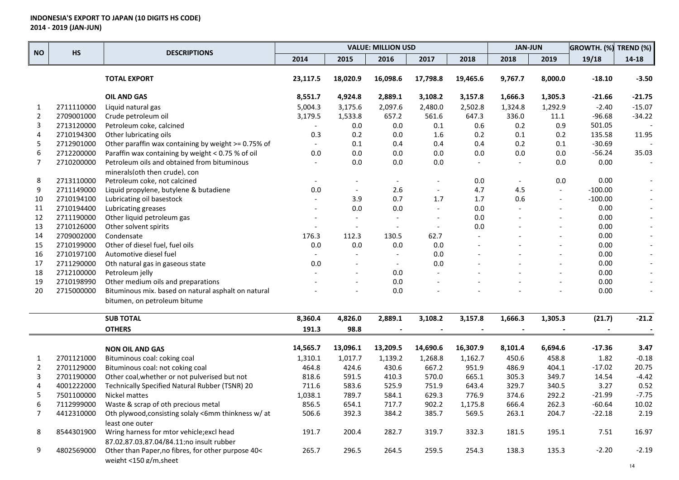|                |            | <b>DESCRIPTIONS</b>                                 |                          |                          | <b>VALUE: MILLION USD</b> |                          |          | <b>JAN-JUN</b>           |                          | GROWTH. (%) | TREND (%)                |
|----------------|------------|-----------------------------------------------------|--------------------------|--------------------------|---------------------------|--------------------------|----------|--------------------------|--------------------------|-------------|--------------------------|
| <b>NO</b>      | <b>HS</b>  |                                                     | 2014                     | 2015                     | 2016                      | 2017                     | 2018     | 2018                     | 2019                     | 19/18       | 14-18                    |
|                |            | <b>TOTAL EXPORT</b>                                 | 23,117.5                 | 18,020.9                 | 16,098.6                  | 17,798.8                 | 19,465.6 | 9,767.7                  | 8,000.0                  | $-18.10$    | $-3.50$                  |
|                |            | <b>OIL AND GAS</b>                                  | 8,551.7                  | 4,924.8                  | 2,889.1                   | 3,108.2                  | 3,157.8  | 1,666.3                  | 1,305.3                  | -21.66      | $-21.75$                 |
| 1              | 2711110000 | Liquid natural gas                                  | 5,004.3                  | 3,175.6                  | 2,097.6                   | 2,480.0                  | 2,502.8  | 1,324.8                  | 1,292.9                  | $-2.40$     | $-15.07$                 |
| $\overline{2}$ | 2709001000 | Crude petroleum oil                                 | 3,179.5                  | 1,533.8                  | 657.2                     | 561.6                    | 647.3    | 336.0                    | 11.1                     | $-96.68$    | $-34.22$                 |
| 3              | 2713120000 | Petroleum coke, calcined                            |                          | 0.0                      | 0.0                       | 0.1                      | 0.6      | 0.2                      | 0.9                      | 501.05      |                          |
| 4              | 2710194300 | Other lubricating oils                              | 0.3                      | 0.2                      | 0.0                       | 1.6                      | 0.2      | 0.1                      | 0.2                      | 135.58      | 11.95                    |
| 5              | 2712901000 | Other paraffin wax containing by weight >= 0.75% of | $\overline{\phantom{a}}$ | 0.1                      | 0.4                       | 0.4                      | 0.4      | 0.2                      | 0.1                      | $-30.69$    |                          |
| 6              | 2712200000 | Paraffin wax containing by weight < 0.75 % of oil   | 0.0                      | 0.0                      | 0.0                       | 0.0                      | 0.0      | 0.0                      | 0.0                      | $-56.24$    | 35.03                    |
| $\overline{7}$ | 2710200000 | Petroleum oils and obtained from bituminous         |                          | 0.0                      | 0.0                       | $0.0\,$                  |          |                          | 0.0                      | 0.00        |                          |
|                |            | minerals(oth then crude), con                       |                          |                          |                           |                          |          |                          |                          |             |                          |
| 8              | 2713110000 | Petroleum coke, not calcined                        | $\overline{\phantom{a}}$ |                          |                           |                          | 0.0      | $\overline{\phantom{a}}$ | 0.0                      | 0.00        |                          |
| 9              | 2711149000 | Liquid propylene, butylene & butadiene              | 0.0                      | $\overline{\phantom{a}}$ | 2.6                       | $\overline{\phantom{a}}$ | 4.7      | 4.5                      | $\overline{\phantom{a}}$ | $-100.00$   |                          |
| 10             | 2710194100 | Lubricating oil basestock                           | $\overline{\phantom{a}}$ | 3.9                      | 0.7                       | 1.7                      | 1.7      | 0.6                      | $\overline{\phantom{a}}$ | $-100.00$   |                          |
| 11             | 2710194400 | Lubricating greases                                 |                          | $0.0\,$                  | 0.0                       | $\overline{\phantom{a}}$ | 0.0      |                          | $\overline{a}$           | 0.00        |                          |
| 12             | 2711190000 | Other liquid petroleum gas                          |                          | $\blacksquare$           |                           | $\overline{\phantom{a}}$ | 0.0      |                          | $\overline{a}$           | 0.00        | $\overline{\phantom{a}}$ |
| 13             | 2710126000 | Other solvent spirits                               |                          | $\overline{\phantom{a}}$ |                           | $\overline{\phantom{a}}$ | 0.0      |                          | $\overline{a}$           | 0.00        | $\overline{\phantom{a}}$ |
| 14             | 2709002000 | Condensate                                          | 176.3                    | 112.3                    | 130.5                     | 62.7                     |          |                          | $\overline{a}$           | 0.00        |                          |
| 15             | 2710199000 | Other of diesel fuel, fuel oils                     | 0.0                      | 0.0                      | 0.0                       | 0.0                      |          |                          |                          | 0.00        |                          |
| 16             | 2710197100 | Automotive diesel fuel                              |                          |                          | $\overline{\phantom{a}}$  | 0.0                      |          |                          |                          | 0.00        |                          |
| 17             | 2711290000 | Oth natural gas in gaseous state                    | 0.0                      |                          | $\overline{\phantom{a}}$  | $0.0\,$                  |          |                          |                          | 0.00        |                          |
| 18             | 2712100000 | Petroleum jelly                                     |                          |                          | 0.0                       |                          |          |                          |                          | 0.00        |                          |
| 19             | 2710198990 | Other medium oils and preparations                  |                          |                          | 0.0                       |                          |          |                          |                          | 0.00        |                          |
| 20             | 2715000000 | Bituminous mix. based on natural asphalt on natural |                          |                          | 0.0                       |                          |          |                          |                          | 0.00        |                          |
|                |            | bitumen, on petroleum bitume                        |                          |                          |                           |                          |          |                          |                          |             |                          |
|                |            | <b>SUB TOTAL</b>                                    | 8,360.4                  | 4,826.0                  | 2,889.1                   | 3,108.2                  | 3,157.8  | 1,666.3                  | 1,305.3                  | (21.7)      | $-21.2$                  |
|                |            | <b>OTHERS</b>                                       | 191.3                    | 98.8                     |                           |                          |          |                          |                          |             |                          |
|                |            | <b>NON OIL AND GAS</b>                              | 14,565.7                 | 13,096.1                 | 13,209.5                  | 14,690.6                 | 16,307.9 | 8,101.4                  | 6,694.6                  | $-17.36$    | 3.47                     |
| 1              | 2701121000 | Bituminous coal: coking coal                        | 1,310.1                  | 1,017.7                  | 1,139.2                   | 1,268.8                  | 1,162.7  | 450.6                    | 458.8                    | 1.82        | $-0.18$                  |
| $\overline{2}$ | 2701129000 | Bituminous coal: not coking coal                    | 464.8                    | 424.6                    | 430.6                     | 667.2                    | 951.9    | 486.9                    | 404.1                    | $-17.02$    | 20.75                    |
| 3              | 2701190000 | Other coal, whether or not pulverised but not       | 818.6                    | 591.5                    | 410.3                     | 570.0                    | 665.1    | 305.3                    | 349.7                    | 14.54       | $-4.42$                  |
| 4              | 4001222000 | Technically Specified Natural Rubber (TSNR) 20      | 711.6                    | 583.6                    | 525.9                     | 751.9                    | 643.4    | 329.7                    | 340.5                    | 3.27        | 0.52                     |
| 5              | 7501100000 | Nickel mattes                                       | 1,038.1                  | 789.7                    | 584.1                     | 629.3                    | 776.9    | 374.6                    | 292.2                    | $-21.99$    | $-7.75$                  |
| 6              | 7112999000 | Waste & scrap of oth precious metal                 | 856.5                    | 654.1                    | 717.7                     | 902.2                    | 1,175.8  | 666.4                    | 262.3                    | -60.64      | 10.02                    |
| $\overline{7}$ | 4412310000 | Oth plywood, consisting solaly <6mm thinkness w/ at | 506.6                    | 392.3                    | 384.2                     | 385.7                    | 569.5    | 263.1                    | 204.7                    | $-22.18$    | 2.19                     |
|                |            | least one outer                                     |                          |                          |                           |                          |          |                          |                          |             |                          |
| 8              | 8544301900 | Wring harness for mtor vehicle; excl head           | 191.7                    | 200.4                    | 282.7                     | 319.7                    | 332.3    | 181.5                    | 195.1                    | 7.51        | 16.97                    |
|                |            | 87.02,87.03,87.04/84.11;no insult rubber            |                          |                          |                           |                          |          |                          |                          |             |                          |
| 9              | 4802569000 | Other than Paper, no fibres, for other purpose 40<  | 265.7                    | 296.5                    | 264.5                     | 259.5                    | 254.3    | 138.3                    | 135.3                    | $-2.20$     | $-2.19$                  |
|                |            | weight <150 g/m,sheet                               |                          |                          |                           |                          |          |                          |                          |             |                          |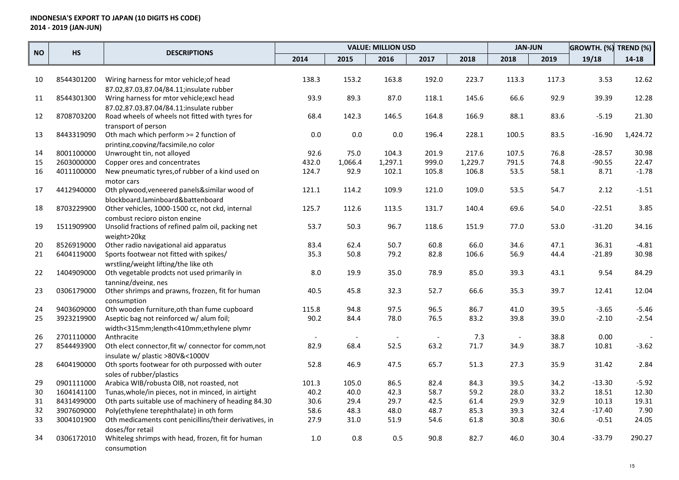| 2014<br>2015<br>2016<br>2017<br>2018<br>2018<br>2019<br>19/18<br>$14 - 18$<br>8544301200<br>153.2<br>192.0<br>223.7<br>3.53<br>Wiring harness for mtor vehicle; of head<br>138.3<br>163.8<br>113.3<br>117.3<br>12.62<br>10<br>87.02.87.03.87.04/84.11:insulate rubber<br>12.28<br>93.9<br>89.3<br>87.0<br>145.6<br>66.6<br>92.9<br>39.39<br>11<br>8544301300<br>Wring harness for mtor vehicle; excl head<br>118.1<br>87.02.87.03.87.04/84.11;insulate rubber<br>8708703200<br>$-5.19$<br>21.30<br>12<br>Road wheels of wheels not fitted with tyres for<br>68.4<br>142.3<br>146.5<br>164.8<br>166.9<br>88.1<br>83.6<br>transport of person<br>8443319090<br>Oth mach which perform >= 2 function of<br>0.0<br>0.0<br>0.0<br>196.4<br>228.1<br>100.5<br>83.5<br>$-16.90$<br>1,424.72<br>13<br>printing.copying/facsimile.no color<br>92.6<br>30.98<br>8001100000<br>Unwrought tin, not alloyed<br>75.0<br>104.3<br>201.9<br>217.6<br>107.5<br>76.8<br>$-28.57$<br>14<br>2603000000<br>1,297.1<br>999.0<br>1,229.7<br>74.8<br>$-90.55$<br>22.47<br>15<br>Copper ores and concentrates<br>432.0<br>1,066.4<br>791.5<br>92.9<br>58.1<br>8.71<br>$-1.78$<br>16<br>4011100000<br>New pneumatic tyres, of rubber of a kind used on<br>124.7<br>102.1<br>105.8<br>106.8<br>53.5<br>motor cars<br>4412940000<br>Oth plywood, veneered panels&similar wood of<br>114.2<br>109.9<br>121.0<br>109.0<br>53.5<br>54.7<br>2.12<br>$-1.51$<br>17<br>121.1<br>blockboard.laminboard&battenboard<br>$-22.51$<br>3.85<br>18<br>8703229900<br>Other vehicles, 1000-1500 cc, not ckd, internal<br>125.7<br>112.6<br>113.5<br>131.7<br>140.4<br>69.6<br>54.0<br>combust recipro piston engine<br>34.16<br>1511909900<br>50.3<br>118.6<br>$-31.20$<br>19<br>Unsolid fractions of refined palm oil, packing net<br>53.7<br>96.7<br>151.9<br>77.0<br>53.0<br>weight>20kg<br>62.4<br>8526919000<br>Other radio navigational aid apparatus<br>83.4<br>50.7<br>60.8<br>66.0<br>34.6<br>47.1<br>36.31<br>$-4.81$<br>20<br>6404119000<br>Sports footwear not fitted with spikes/<br>35.3<br>50.8<br>79.2<br>82.8<br>106.6<br>56.9<br>44.4<br>$-21.89$<br>30.98<br>21<br>wrstling/weight lifting/the like oth<br>84.29<br>9.54<br>22<br>1404909000<br>Oth vegetable prodcts not used primarily in<br>19.9<br>35.0<br>78.9<br>85.0<br>39.3<br>43.1<br>8.0<br>tanning/dveing, nes<br>12.04<br>Other shrimps and prawns, frozzen, fit for human<br>45.8<br>52.7<br>12.41<br>23<br>0306179000<br>40.5<br>32.3<br>66.6<br>35.3<br>39.7<br>consumption<br>9403609000<br>Oth wooden furniture, oth than fume cupboard<br>94.8<br>96.5<br>39.5<br>$-3.65$<br>$-5.46$<br>24<br>115.8<br>97.5<br>86.7<br>41.0<br>$-2.54$<br>Aseptic bag not reinforced w/ alum foil;<br>90.2<br>83.2<br>39.0<br>$-2.10$<br>25<br>3923219900<br>84.4<br>78.0<br>76.5<br>39.8<br>width<315mm;length<410mm;ethylene plymr<br>0.00<br>26<br>2701110000<br>38.8<br>Anthracite<br>7.3<br>$-3.62$<br>8544493900<br>68.4<br>52.5<br>63.2<br>71.7<br>27<br>Oth elect connector, fit w/ connector for comm, not<br>82.9<br>34.9<br>38.7<br>10.81<br>insulate w/ plastic >80V&<1000V<br>6404190000<br>52.8<br>46.9<br>47.5<br>65.7<br>51.3<br>27.3<br>35.9<br>31.42<br>2.84<br>28<br>Oth sports footwear for oth purpossed with outer<br>soles of rubber/plastics<br>$-13.30$<br>$-5.92$<br>29<br>0901111000<br>Arabica WIB/robusta OIB, not roasted, not<br>105.0<br>86.5<br>82.4<br>84.3<br>39.5<br>34.2<br>101.3<br>33.2<br>12.30<br>1604141100<br>Tunas, whole/in pieces, not in minced, in airtight<br>40.2<br>40.0<br>42.3<br>58.7<br>59.2<br>28.0<br>18.51<br>30<br>19.31<br>31<br>8431499000<br>Oth parts suitable use of machinery of heading 84.30<br>30.6<br>29.4<br>29.7<br>61.4<br>29.9<br>32.9<br>10.13<br>42.5 |           |            |                                          |      | <b>VALUE: MILLION USD</b> |      |      | <b>JAN-JUN</b> |      | GROWTH. (%) TREND (%) |          |      |
|------------------------------------------------------------------------------------------------------------------------------------------------------------------------------------------------------------------------------------------------------------------------------------------------------------------------------------------------------------------------------------------------------------------------------------------------------------------------------------------------------------------------------------------------------------------------------------------------------------------------------------------------------------------------------------------------------------------------------------------------------------------------------------------------------------------------------------------------------------------------------------------------------------------------------------------------------------------------------------------------------------------------------------------------------------------------------------------------------------------------------------------------------------------------------------------------------------------------------------------------------------------------------------------------------------------------------------------------------------------------------------------------------------------------------------------------------------------------------------------------------------------------------------------------------------------------------------------------------------------------------------------------------------------------------------------------------------------------------------------------------------------------------------------------------------------------------------------------------------------------------------------------------------------------------------------------------------------------------------------------------------------------------------------------------------------------------------------------------------------------------------------------------------------------------------------------------------------------------------------------------------------------------------------------------------------------------------------------------------------------------------------------------------------------------------------------------------------------------------------------------------------------------------------------------------------------------------------------------------------------------------------------------------------------------------------------------------------------------------------------------------------------------------------------------------------------------------------------------------------------------------------------------------------------------------------------------------------------------------------------------------------------------------------------------------------------------------------------------------------------------------------------------------------------------------------------------------------------------------------------------------------------------------------------------------------------------------------------------------------------------------------------------------------------------------------------------------------------------------------------------------------------------------------------------------------------------------------------------------------------------------------------------------------------------------------------------------------------------------------------------------|-----------|------------|------------------------------------------|------|---------------------------|------|------|----------------|------|-----------------------|----------|------|
|                                                                                                                                                                                                                                                                                                                                                                                                                                                                                                                                                                                                                                                                                                                                                                                                                                                                                                                                                                                                                                                                                                                                                                                                                                                                                                                                                                                                                                                                                                                                                                                                                                                                                                                                                                                                                                                                                                                                                                                                                                                                                                                                                                                                                                                                                                                                                                                                                                                                                                                                                                                                                                                                                                                                                                                                                                                                                                                                                                                                                                                                                                                                                                                                                                                                                                                                                                                                                                                                                                                                                                                                                                                                                                                                                            | <b>NO</b> | <b>HS</b>  | <b>DESCRIPTIONS</b>                      |      |                           |      |      |                |      |                       |          |      |
|                                                                                                                                                                                                                                                                                                                                                                                                                                                                                                                                                                                                                                                                                                                                                                                                                                                                                                                                                                                                                                                                                                                                                                                                                                                                                                                                                                                                                                                                                                                                                                                                                                                                                                                                                                                                                                                                                                                                                                                                                                                                                                                                                                                                                                                                                                                                                                                                                                                                                                                                                                                                                                                                                                                                                                                                                                                                                                                                                                                                                                                                                                                                                                                                                                                                                                                                                                                                                                                                                                                                                                                                                                                                                                                                                            |           |            |                                          |      |                           |      |      |                |      |                       |          |      |
|                                                                                                                                                                                                                                                                                                                                                                                                                                                                                                                                                                                                                                                                                                                                                                                                                                                                                                                                                                                                                                                                                                                                                                                                                                                                                                                                                                                                                                                                                                                                                                                                                                                                                                                                                                                                                                                                                                                                                                                                                                                                                                                                                                                                                                                                                                                                                                                                                                                                                                                                                                                                                                                                                                                                                                                                                                                                                                                                                                                                                                                                                                                                                                                                                                                                                                                                                                                                                                                                                                                                                                                                                                                                                                                                                            |           |            |                                          |      |                           |      |      |                |      |                       |          |      |
|                                                                                                                                                                                                                                                                                                                                                                                                                                                                                                                                                                                                                                                                                                                                                                                                                                                                                                                                                                                                                                                                                                                                                                                                                                                                                                                                                                                                                                                                                                                                                                                                                                                                                                                                                                                                                                                                                                                                                                                                                                                                                                                                                                                                                                                                                                                                                                                                                                                                                                                                                                                                                                                                                                                                                                                                                                                                                                                                                                                                                                                                                                                                                                                                                                                                                                                                                                                                                                                                                                                                                                                                                                                                                                                                                            |           |            |                                          |      |                           |      |      |                |      |                       |          |      |
|                                                                                                                                                                                                                                                                                                                                                                                                                                                                                                                                                                                                                                                                                                                                                                                                                                                                                                                                                                                                                                                                                                                                                                                                                                                                                                                                                                                                                                                                                                                                                                                                                                                                                                                                                                                                                                                                                                                                                                                                                                                                                                                                                                                                                                                                                                                                                                                                                                                                                                                                                                                                                                                                                                                                                                                                                                                                                                                                                                                                                                                                                                                                                                                                                                                                                                                                                                                                                                                                                                                                                                                                                                                                                                                                                            |           |            |                                          |      |                           |      |      |                |      |                       |          |      |
|                                                                                                                                                                                                                                                                                                                                                                                                                                                                                                                                                                                                                                                                                                                                                                                                                                                                                                                                                                                                                                                                                                                                                                                                                                                                                                                                                                                                                                                                                                                                                                                                                                                                                                                                                                                                                                                                                                                                                                                                                                                                                                                                                                                                                                                                                                                                                                                                                                                                                                                                                                                                                                                                                                                                                                                                                                                                                                                                                                                                                                                                                                                                                                                                                                                                                                                                                                                                                                                                                                                                                                                                                                                                                                                                                            |           |            |                                          |      |                           |      |      |                |      |                       |          |      |
|                                                                                                                                                                                                                                                                                                                                                                                                                                                                                                                                                                                                                                                                                                                                                                                                                                                                                                                                                                                                                                                                                                                                                                                                                                                                                                                                                                                                                                                                                                                                                                                                                                                                                                                                                                                                                                                                                                                                                                                                                                                                                                                                                                                                                                                                                                                                                                                                                                                                                                                                                                                                                                                                                                                                                                                                                                                                                                                                                                                                                                                                                                                                                                                                                                                                                                                                                                                                                                                                                                                                                                                                                                                                                                                                                            |           |            |                                          |      |                           |      |      |                |      |                       |          |      |
|                                                                                                                                                                                                                                                                                                                                                                                                                                                                                                                                                                                                                                                                                                                                                                                                                                                                                                                                                                                                                                                                                                                                                                                                                                                                                                                                                                                                                                                                                                                                                                                                                                                                                                                                                                                                                                                                                                                                                                                                                                                                                                                                                                                                                                                                                                                                                                                                                                                                                                                                                                                                                                                                                                                                                                                                                                                                                                                                                                                                                                                                                                                                                                                                                                                                                                                                                                                                                                                                                                                                                                                                                                                                                                                                                            |           |            |                                          |      |                           |      |      |                |      |                       |          |      |
|                                                                                                                                                                                                                                                                                                                                                                                                                                                                                                                                                                                                                                                                                                                                                                                                                                                                                                                                                                                                                                                                                                                                                                                                                                                                                                                                                                                                                                                                                                                                                                                                                                                                                                                                                                                                                                                                                                                                                                                                                                                                                                                                                                                                                                                                                                                                                                                                                                                                                                                                                                                                                                                                                                                                                                                                                                                                                                                                                                                                                                                                                                                                                                                                                                                                                                                                                                                                                                                                                                                                                                                                                                                                                                                                                            |           |            |                                          |      |                           |      |      |                |      |                       |          |      |
|                                                                                                                                                                                                                                                                                                                                                                                                                                                                                                                                                                                                                                                                                                                                                                                                                                                                                                                                                                                                                                                                                                                                                                                                                                                                                                                                                                                                                                                                                                                                                                                                                                                                                                                                                                                                                                                                                                                                                                                                                                                                                                                                                                                                                                                                                                                                                                                                                                                                                                                                                                                                                                                                                                                                                                                                                                                                                                                                                                                                                                                                                                                                                                                                                                                                                                                                                                                                                                                                                                                                                                                                                                                                                                                                                            |           |            |                                          |      |                           |      |      |                |      |                       |          |      |
|                                                                                                                                                                                                                                                                                                                                                                                                                                                                                                                                                                                                                                                                                                                                                                                                                                                                                                                                                                                                                                                                                                                                                                                                                                                                                                                                                                                                                                                                                                                                                                                                                                                                                                                                                                                                                                                                                                                                                                                                                                                                                                                                                                                                                                                                                                                                                                                                                                                                                                                                                                                                                                                                                                                                                                                                                                                                                                                                                                                                                                                                                                                                                                                                                                                                                                                                                                                                                                                                                                                                                                                                                                                                                                                                                            |           |            |                                          |      |                           |      |      |                |      |                       |          |      |
|                                                                                                                                                                                                                                                                                                                                                                                                                                                                                                                                                                                                                                                                                                                                                                                                                                                                                                                                                                                                                                                                                                                                                                                                                                                                                                                                                                                                                                                                                                                                                                                                                                                                                                                                                                                                                                                                                                                                                                                                                                                                                                                                                                                                                                                                                                                                                                                                                                                                                                                                                                                                                                                                                                                                                                                                                                                                                                                                                                                                                                                                                                                                                                                                                                                                                                                                                                                                                                                                                                                                                                                                                                                                                                                                                            |           |            |                                          |      |                           |      |      |                |      |                       |          |      |
|                                                                                                                                                                                                                                                                                                                                                                                                                                                                                                                                                                                                                                                                                                                                                                                                                                                                                                                                                                                                                                                                                                                                                                                                                                                                                                                                                                                                                                                                                                                                                                                                                                                                                                                                                                                                                                                                                                                                                                                                                                                                                                                                                                                                                                                                                                                                                                                                                                                                                                                                                                                                                                                                                                                                                                                                                                                                                                                                                                                                                                                                                                                                                                                                                                                                                                                                                                                                                                                                                                                                                                                                                                                                                                                                                            |           |            |                                          |      |                           |      |      |                |      |                       |          |      |
|                                                                                                                                                                                                                                                                                                                                                                                                                                                                                                                                                                                                                                                                                                                                                                                                                                                                                                                                                                                                                                                                                                                                                                                                                                                                                                                                                                                                                                                                                                                                                                                                                                                                                                                                                                                                                                                                                                                                                                                                                                                                                                                                                                                                                                                                                                                                                                                                                                                                                                                                                                                                                                                                                                                                                                                                                                                                                                                                                                                                                                                                                                                                                                                                                                                                                                                                                                                                                                                                                                                                                                                                                                                                                                                                                            |           |            |                                          |      |                           |      |      |                |      |                       |          |      |
|                                                                                                                                                                                                                                                                                                                                                                                                                                                                                                                                                                                                                                                                                                                                                                                                                                                                                                                                                                                                                                                                                                                                                                                                                                                                                                                                                                                                                                                                                                                                                                                                                                                                                                                                                                                                                                                                                                                                                                                                                                                                                                                                                                                                                                                                                                                                                                                                                                                                                                                                                                                                                                                                                                                                                                                                                                                                                                                                                                                                                                                                                                                                                                                                                                                                                                                                                                                                                                                                                                                                                                                                                                                                                                                                                            |           |            |                                          |      |                           |      |      |                |      |                       |          |      |
|                                                                                                                                                                                                                                                                                                                                                                                                                                                                                                                                                                                                                                                                                                                                                                                                                                                                                                                                                                                                                                                                                                                                                                                                                                                                                                                                                                                                                                                                                                                                                                                                                                                                                                                                                                                                                                                                                                                                                                                                                                                                                                                                                                                                                                                                                                                                                                                                                                                                                                                                                                                                                                                                                                                                                                                                                                                                                                                                                                                                                                                                                                                                                                                                                                                                                                                                                                                                                                                                                                                                                                                                                                                                                                                                                            |           |            |                                          |      |                           |      |      |                |      |                       |          |      |
|                                                                                                                                                                                                                                                                                                                                                                                                                                                                                                                                                                                                                                                                                                                                                                                                                                                                                                                                                                                                                                                                                                                                                                                                                                                                                                                                                                                                                                                                                                                                                                                                                                                                                                                                                                                                                                                                                                                                                                                                                                                                                                                                                                                                                                                                                                                                                                                                                                                                                                                                                                                                                                                                                                                                                                                                                                                                                                                                                                                                                                                                                                                                                                                                                                                                                                                                                                                                                                                                                                                                                                                                                                                                                                                                                            |           |            |                                          |      |                           |      |      |                |      |                       |          |      |
|                                                                                                                                                                                                                                                                                                                                                                                                                                                                                                                                                                                                                                                                                                                                                                                                                                                                                                                                                                                                                                                                                                                                                                                                                                                                                                                                                                                                                                                                                                                                                                                                                                                                                                                                                                                                                                                                                                                                                                                                                                                                                                                                                                                                                                                                                                                                                                                                                                                                                                                                                                                                                                                                                                                                                                                                                                                                                                                                                                                                                                                                                                                                                                                                                                                                                                                                                                                                                                                                                                                                                                                                                                                                                                                                                            |           |            |                                          |      |                           |      |      |                |      |                       |          |      |
|                                                                                                                                                                                                                                                                                                                                                                                                                                                                                                                                                                                                                                                                                                                                                                                                                                                                                                                                                                                                                                                                                                                                                                                                                                                                                                                                                                                                                                                                                                                                                                                                                                                                                                                                                                                                                                                                                                                                                                                                                                                                                                                                                                                                                                                                                                                                                                                                                                                                                                                                                                                                                                                                                                                                                                                                                                                                                                                                                                                                                                                                                                                                                                                                                                                                                                                                                                                                                                                                                                                                                                                                                                                                                                                                                            |           |            |                                          |      |                           |      |      |                |      |                       |          |      |
|                                                                                                                                                                                                                                                                                                                                                                                                                                                                                                                                                                                                                                                                                                                                                                                                                                                                                                                                                                                                                                                                                                                                                                                                                                                                                                                                                                                                                                                                                                                                                                                                                                                                                                                                                                                                                                                                                                                                                                                                                                                                                                                                                                                                                                                                                                                                                                                                                                                                                                                                                                                                                                                                                                                                                                                                                                                                                                                                                                                                                                                                                                                                                                                                                                                                                                                                                                                                                                                                                                                                                                                                                                                                                                                                                            |           |            |                                          |      |                           |      |      |                |      |                       |          |      |
|                                                                                                                                                                                                                                                                                                                                                                                                                                                                                                                                                                                                                                                                                                                                                                                                                                                                                                                                                                                                                                                                                                                                                                                                                                                                                                                                                                                                                                                                                                                                                                                                                                                                                                                                                                                                                                                                                                                                                                                                                                                                                                                                                                                                                                                                                                                                                                                                                                                                                                                                                                                                                                                                                                                                                                                                                                                                                                                                                                                                                                                                                                                                                                                                                                                                                                                                                                                                                                                                                                                                                                                                                                                                                                                                                            |           |            |                                          |      |                           |      |      |                |      |                       |          |      |
|                                                                                                                                                                                                                                                                                                                                                                                                                                                                                                                                                                                                                                                                                                                                                                                                                                                                                                                                                                                                                                                                                                                                                                                                                                                                                                                                                                                                                                                                                                                                                                                                                                                                                                                                                                                                                                                                                                                                                                                                                                                                                                                                                                                                                                                                                                                                                                                                                                                                                                                                                                                                                                                                                                                                                                                                                                                                                                                                                                                                                                                                                                                                                                                                                                                                                                                                                                                                                                                                                                                                                                                                                                                                                                                                                            |           |            |                                          |      |                           |      |      |                |      |                       |          |      |
|                                                                                                                                                                                                                                                                                                                                                                                                                                                                                                                                                                                                                                                                                                                                                                                                                                                                                                                                                                                                                                                                                                                                                                                                                                                                                                                                                                                                                                                                                                                                                                                                                                                                                                                                                                                                                                                                                                                                                                                                                                                                                                                                                                                                                                                                                                                                                                                                                                                                                                                                                                                                                                                                                                                                                                                                                                                                                                                                                                                                                                                                                                                                                                                                                                                                                                                                                                                                                                                                                                                                                                                                                                                                                                                                                            |           |            |                                          |      |                           |      |      |                |      |                       |          |      |
|                                                                                                                                                                                                                                                                                                                                                                                                                                                                                                                                                                                                                                                                                                                                                                                                                                                                                                                                                                                                                                                                                                                                                                                                                                                                                                                                                                                                                                                                                                                                                                                                                                                                                                                                                                                                                                                                                                                                                                                                                                                                                                                                                                                                                                                                                                                                                                                                                                                                                                                                                                                                                                                                                                                                                                                                                                                                                                                                                                                                                                                                                                                                                                                                                                                                                                                                                                                                                                                                                                                                                                                                                                                                                                                                                            |           |            |                                          |      |                           |      |      |                |      |                       |          |      |
|                                                                                                                                                                                                                                                                                                                                                                                                                                                                                                                                                                                                                                                                                                                                                                                                                                                                                                                                                                                                                                                                                                                                                                                                                                                                                                                                                                                                                                                                                                                                                                                                                                                                                                                                                                                                                                                                                                                                                                                                                                                                                                                                                                                                                                                                                                                                                                                                                                                                                                                                                                                                                                                                                                                                                                                                                                                                                                                                                                                                                                                                                                                                                                                                                                                                                                                                                                                                                                                                                                                                                                                                                                                                                                                                                            |           |            |                                          |      |                           |      |      |                |      |                       |          |      |
|                                                                                                                                                                                                                                                                                                                                                                                                                                                                                                                                                                                                                                                                                                                                                                                                                                                                                                                                                                                                                                                                                                                                                                                                                                                                                                                                                                                                                                                                                                                                                                                                                                                                                                                                                                                                                                                                                                                                                                                                                                                                                                                                                                                                                                                                                                                                                                                                                                                                                                                                                                                                                                                                                                                                                                                                                                                                                                                                                                                                                                                                                                                                                                                                                                                                                                                                                                                                                                                                                                                                                                                                                                                                                                                                                            |           |            |                                          |      |                           |      |      |                |      |                       |          |      |
|                                                                                                                                                                                                                                                                                                                                                                                                                                                                                                                                                                                                                                                                                                                                                                                                                                                                                                                                                                                                                                                                                                                                                                                                                                                                                                                                                                                                                                                                                                                                                                                                                                                                                                                                                                                                                                                                                                                                                                                                                                                                                                                                                                                                                                                                                                                                                                                                                                                                                                                                                                                                                                                                                                                                                                                                                                                                                                                                                                                                                                                                                                                                                                                                                                                                                                                                                                                                                                                                                                                                                                                                                                                                                                                                                            |           |            |                                          |      |                           |      |      |                |      |                       |          |      |
|                                                                                                                                                                                                                                                                                                                                                                                                                                                                                                                                                                                                                                                                                                                                                                                                                                                                                                                                                                                                                                                                                                                                                                                                                                                                                                                                                                                                                                                                                                                                                                                                                                                                                                                                                                                                                                                                                                                                                                                                                                                                                                                                                                                                                                                                                                                                                                                                                                                                                                                                                                                                                                                                                                                                                                                                                                                                                                                                                                                                                                                                                                                                                                                                                                                                                                                                                                                                                                                                                                                                                                                                                                                                                                                                                            |           |            |                                          |      |                           |      |      |                |      |                       |          |      |
|                                                                                                                                                                                                                                                                                                                                                                                                                                                                                                                                                                                                                                                                                                                                                                                                                                                                                                                                                                                                                                                                                                                                                                                                                                                                                                                                                                                                                                                                                                                                                                                                                                                                                                                                                                                                                                                                                                                                                                                                                                                                                                                                                                                                                                                                                                                                                                                                                                                                                                                                                                                                                                                                                                                                                                                                                                                                                                                                                                                                                                                                                                                                                                                                                                                                                                                                                                                                                                                                                                                                                                                                                                                                                                                                                            |           |            |                                          |      |                           |      |      |                |      |                       |          |      |
|                                                                                                                                                                                                                                                                                                                                                                                                                                                                                                                                                                                                                                                                                                                                                                                                                                                                                                                                                                                                                                                                                                                                                                                                                                                                                                                                                                                                                                                                                                                                                                                                                                                                                                                                                                                                                                                                                                                                                                                                                                                                                                                                                                                                                                                                                                                                                                                                                                                                                                                                                                                                                                                                                                                                                                                                                                                                                                                                                                                                                                                                                                                                                                                                                                                                                                                                                                                                                                                                                                                                                                                                                                                                                                                                                            |           |            |                                          |      |                           |      |      |                |      |                       |          |      |
|                                                                                                                                                                                                                                                                                                                                                                                                                                                                                                                                                                                                                                                                                                                                                                                                                                                                                                                                                                                                                                                                                                                                                                                                                                                                                                                                                                                                                                                                                                                                                                                                                                                                                                                                                                                                                                                                                                                                                                                                                                                                                                                                                                                                                                                                                                                                                                                                                                                                                                                                                                                                                                                                                                                                                                                                                                                                                                                                                                                                                                                                                                                                                                                                                                                                                                                                                                                                                                                                                                                                                                                                                                                                                                                                                            |           |            |                                          |      |                           |      |      |                |      |                       |          |      |
|                                                                                                                                                                                                                                                                                                                                                                                                                                                                                                                                                                                                                                                                                                                                                                                                                                                                                                                                                                                                                                                                                                                                                                                                                                                                                                                                                                                                                                                                                                                                                                                                                                                                                                                                                                                                                                                                                                                                                                                                                                                                                                                                                                                                                                                                                                                                                                                                                                                                                                                                                                                                                                                                                                                                                                                                                                                                                                                                                                                                                                                                                                                                                                                                                                                                                                                                                                                                                                                                                                                                                                                                                                                                                                                                                            |           |            |                                          |      |                           |      |      |                |      |                       |          |      |
|                                                                                                                                                                                                                                                                                                                                                                                                                                                                                                                                                                                                                                                                                                                                                                                                                                                                                                                                                                                                                                                                                                                                                                                                                                                                                                                                                                                                                                                                                                                                                                                                                                                                                                                                                                                                                                                                                                                                                                                                                                                                                                                                                                                                                                                                                                                                                                                                                                                                                                                                                                                                                                                                                                                                                                                                                                                                                                                                                                                                                                                                                                                                                                                                                                                                                                                                                                                                                                                                                                                                                                                                                                                                                                                                                            |           |            |                                          |      |                           |      |      |                |      |                       |          |      |
|                                                                                                                                                                                                                                                                                                                                                                                                                                                                                                                                                                                                                                                                                                                                                                                                                                                                                                                                                                                                                                                                                                                                                                                                                                                                                                                                                                                                                                                                                                                                                                                                                                                                                                                                                                                                                                                                                                                                                                                                                                                                                                                                                                                                                                                                                                                                                                                                                                                                                                                                                                                                                                                                                                                                                                                                                                                                                                                                                                                                                                                                                                                                                                                                                                                                                                                                                                                                                                                                                                                                                                                                                                                                                                                                                            |           |            |                                          |      |                           |      |      |                |      |                       |          |      |
|                                                                                                                                                                                                                                                                                                                                                                                                                                                                                                                                                                                                                                                                                                                                                                                                                                                                                                                                                                                                                                                                                                                                                                                                                                                                                                                                                                                                                                                                                                                                                                                                                                                                                                                                                                                                                                                                                                                                                                                                                                                                                                                                                                                                                                                                                                                                                                                                                                                                                                                                                                                                                                                                                                                                                                                                                                                                                                                                                                                                                                                                                                                                                                                                                                                                                                                                                                                                                                                                                                                                                                                                                                                                                                                                                            |           |            |                                          |      |                           |      |      |                |      |                       |          |      |
|                                                                                                                                                                                                                                                                                                                                                                                                                                                                                                                                                                                                                                                                                                                                                                                                                                                                                                                                                                                                                                                                                                                                                                                                                                                                                                                                                                                                                                                                                                                                                                                                                                                                                                                                                                                                                                                                                                                                                                                                                                                                                                                                                                                                                                                                                                                                                                                                                                                                                                                                                                                                                                                                                                                                                                                                                                                                                                                                                                                                                                                                                                                                                                                                                                                                                                                                                                                                                                                                                                                                                                                                                                                                                                                                                            |           |            |                                          |      |                           |      |      |                |      |                       |          |      |
|                                                                                                                                                                                                                                                                                                                                                                                                                                                                                                                                                                                                                                                                                                                                                                                                                                                                                                                                                                                                                                                                                                                                                                                                                                                                                                                                                                                                                                                                                                                                                                                                                                                                                                                                                                                                                                                                                                                                                                                                                                                                                                                                                                                                                                                                                                                                                                                                                                                                                                                                                                                                                                                                                                                                                                                                                                                                                                                                                                                                                                                                                                                                                                                                                                                                                                                                                                                                                                                                                                                                                                                                                                                                                                                                                            | 32        | 3907609000 | Poly(ethylene terephthalate) in oth form | 58.6 | 48.3                      | 48.0 | 48.7 | 85.3           | 39.3 | 32.4                  | $-17.40$ | 7.90 |
| 33<br>3004101900<br>Oth medicaments cont penicillins/their derivatives, in<br>27.9<br>31.0<br>61.8<br>30.6<br>$-0.51$<br>24.05<br>51.9<br>54.6<br>30.8                                                                                                                                                                                                                                                                                                                                                                                                                                                                                                                                                                                                                                                                                                                                                                                                                                                                                                                                                                                                                                                                                                                                                                                                                                                                                                                                                                                                                                                                                                                                                                                                                                                                                                                                                                                                                                                                                                                                                                                                                                                                                                                                                                                                                                                                                                                                                                                                                                                                                                                                                                                                                                                                                                                                                                                                                                                                                                                                                                                                                                                                                                                                                                                                                                                                                                                                                                                                                                                                                                                                                                                                     |           |            |                                          |      |                           |      |      |                |      |                       |          |      |
| doses/for retail<br>0.8<br>290.27<br>0306172010<br>Whiteleg shrimps with head, frozen, fit for human<br>0.5<br>90.8<br>82.7<br>30.4<br>$-33.79$<br>34<br>1.0<br>46.0                                                                                                                                                                                                                                                                                                                                                                                                                                                                                                                                                                                                                                                                                                                                                                                                                                                                                                                                                                                                                                                                                                                                                                                                                                                                                                                                                                                                                                                                                                                                                                                                                                                                                                                                                                                                                                                                                                                                                                                                                                                                                                                                                                                                                                                                                                                                                                                                                                                                                                                                                                                                                                                                                                                                                                                                                                                                                                                                                                                                                                                                                                                                                                                                                                                                                                                                                                                                                                                                                                                                                                                       |           |            |                                          |      |                           |      |      |                |      |                       |          |      |
| consumption                                                                                                                                                                                                                                                                                                                                                                                                                                                                                                                                                                                                                                                                                                                                                                                                                                                                                                                                                                                                                                                                                                                                                                                                                                                                                                                                                                                                                                                                                                                                                                                                                                                                                                                                                                                                                                                                                                                                                                                                                                                                                                                                                                                                                                                                                                                                                                                                                                                                                                                                                                                                                                                                                                                                                                                                                                                                                                                                                                                                                                                                                                                                                                                                                                                                                                                                                                                                                                                                                                                                                                                                                                                                                                                                                |           |            |                                          |      |                           |      |      |                |      |                       |          |      |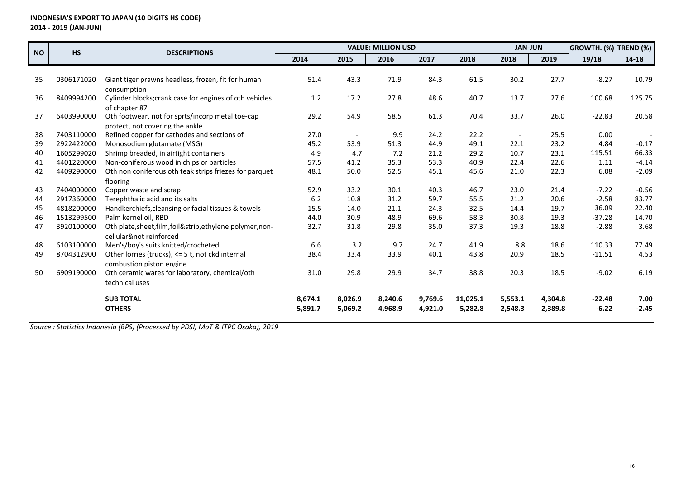| <b>NO</b> | <b>HS</b>  | <b>DESCRIPTIONS</b>                                                                 |         | <b>JAN-JUN</b>           |         | GROWTH. (%)<br><b>TREND (%)</b> |          |                          |         |          |           |
|-----------|------------|-------------------------------------------------------------------------------------|---------|--------------------------|---------|---------------------------------|----------|--------------------------|---------|----------|-----------|
|           |            |                                                                                     | 2014    | 2015                     | 2016    | 2017                            | 2018     | 2018                     | 2019    | 19/18    | $14 - 18$ |
|           |            |                                                                                     |         |                          |         |                                 |          |                          |         |          |           |
| 35        | 0306171020 | Giant tiger prawns headless, frozen, fit for human                                  | 51.4    | 43.3                     | 71.9    | 84.3                            | 61.5     | 30.2                     | 27.7    | $-8.27$  | 10.79     |
|           |            | consumption                                                                         |         |                          |         |                                 |          |                          |         |          |           |
| 36        | 8409994200 | Cylinder blocks; crank case for engines of oth vehicles                             | 1.2     | 17.2                     | 27.8    | 48.6                            | 40.7     | 13.7                     | 27.6    | 100.68   | 125.75    |
| 37        | 6403990000 | of chapter 87                                                                       | 29.2    | 54.9                     | 58.5    | 61.3                            | 70.4     | 33.7                     | 26.0    | $-22.83$ | 20.58     |
|           |            | Oth footwear, not for sprts/incorp metal toe-cap<br>protect, not covering the ankle |         |                          |         |                                 |          |                          |         |          |           |
| 38        | 7403110000 | Refined copper for cathodes and sections of                                         | 27.0    | $\overline{\phantom{a}}$ | 9.9     | 24.2                            | 22.2     | $\overline{\phantom{a}}$ | 25.5    | 0.00     |           |
| 39        | 2922422000 | Monosodium glutamate (MSG)                                                          | 45.2    | 53.9                     | 51.3    | 44.9                            | 49.1     | 22.1                     | 23.2    | 4.84     | $-0.17$   |
| 40        | 1605299020 | Shrimp breaded, in airtight containers                                              | 4.9     | 4.7                      | 7.2     | 21.2                            | 29.2     | 10.7                     | 23.1    | 115.51   | 66.33     |
| 41        | 4401220000 | Non-coniferous wood in chips or particles                                           | 57.5    | 41.2                     | 35.3    | 53.3                            | 40.9     | 22.4                     | 22.6    | 1.11     | $-4.14$   |
| 42        | 4409290000 | Oth non coniferous oth teak strips friezes for parquet                              | 48.1    | 50.0                     | 52.5    | 45.1                            | 45.6     | 21.0                     | 22.3    | 6.08     | $-2.09$   |
|           |            | flooring                                                                            |         |                          |         |                                 |          |                          |         |          |           |
| 43        | 7404000000 | Copper waste and scrap                                                              | 52.9    | 33.2                     | 30.1    | 40.3                            | 46.7     | 23.0                     | 21.4    | $-7.22$  | $-0.56$   |
| 44        | 2917360000 | Terephthalic acid and its salts                                                     | 6.2     | 10.8                     | 31.2    | 59.7                            | 55.5     | 21.2                     | 20.6    | $-2.58$  | 83.77     |
| 45        | 4818200000 | Handkerchiefs, cleansing or facial tissues & towels                                 | 15.5    | 14.0                     | 21.1    | 24.3                            | 32.5     | 14.4                     | 19.7    | 36.09    | 22.40     |
| 46        | 1513299500 | Palm kernel oil, RBD                                                                | 44.0    | 30.9                     | 48.9    | 69.6                            | 58.3     | 30.8                     | 19.3    | $-37.28$ | 14.70     |
| 47        | 3920100000 | Oth plate, sheet, film, foil&strip, ethylene polymer, non-                          | 32.7    | 31.8                     | 29.8    | 35.0                            | 37.3     | 19.3                     | 18.8    | $-2.88$  | 3.68      |
|           |            | cellular¬ reinforced                                                                |         |                          |         |                                 |          |                          |         |          |           |
| 48        | 6103100000 | Men's/boy's suits knitted/crocheted                                                 | 6.6     | 3.2                      | 9.7     | 24.7                            | 41.9     | 8.8                      | 18.6    | 110.33   | 77.49     |
| 49        | 8704312900 | Other lorries (trucks), <= 5 t, not ckd internal                                    | 38.4    | 33.4                     | 33.9    | 40.1                            | 43.8     | 20.9                     | 18.5    | $-11.51$ | 4.53      |
| 50        |            | combustion piston engine                                                            |         |                          |         |                                 |          |                          |         | $-9.02$  | 6.19      |
|           | 6909190000 | Oth ceramic wares for laboratory, chemical/oth                                      | 31.0    | 29.8                     | 29.9    | 34.7                            | 38.8     | 20.3                     | 18.5    |          |           |
|           |            | technical uses                                                                      |         |                          |         |                                 |          |                          |         |          |           |
|           |            | <b>SUB TOTAL</b>                                                                    | 8,674.1 | 8,026.9                  | 8,240.6 | 9,769.6                         | 11,025.1 | 5,553.1                  | 4,304.8 | $-22.48$ | 7.00      |
|           |            | <b>OTHERS</b>                                                                       | 5,891.7 | 5,069.2                  | 4,968.9 | 4,921.0                         | 5,282.8  | 2,548.3                  | 2,389.8 | $-6.22$  | $-2.45$   |
|           |            |                                                                                     |         |                          |         |                                 |          |                          |         |          |           |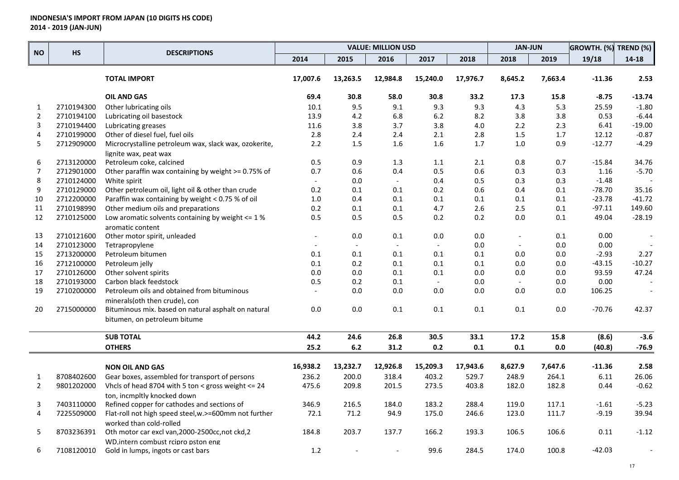|                  | HS         | <b>DESCRIPTIONS</b>                                   |                |          | <b>VALUE: MILLION USD</b> |                          |          | <b>JAN-JUN</b>           |         | <b>GROWTH. (%) TREND (%)</b> |           |
|------------------|------------|-------------------------------------------------------|----------------|----------|---------------------------|--------------------------|----------|--------------------------|---------|------------------------------|-----------|
| <b>NO</b>        |            |                                                       | 2014           | 2015     | 2016                      | 2017                     | 2018     | 2018                     | 2019    | 19/18                        | $14 - 18$ |
|                  |            | <b>TOTAL IMPORT</b>                                   | 17,007.6       | 13,263.5 | 12,984.8                  | 15,240.0                 | 17,976.7 | 8,645.2                  | 7,663.4 | $-11.36$                     | 2.53      |
|                  |            | <b>OIL AND GAS</b>                                    | 69.4           | 30.8     | 58.0                      | 30.8                     | 33.2     | 17.3                     | 15.8    | $-8.75$                      | $-13.74$  |
| $\mathbf{1}$     | 2710194300 | Other lubricating oils                                | 10.1           | 9.5      | 9.1                       | 9.3                      | 9.3      | 4.3                      | 5.3     | 25.59                        | $-1.80$   |
| $\overline{2}$   | 2710194100 | Lubricating oil basestock                             | 13.9           | 4.2      | 6.8                       | 6.2                      | 8.2      | 3.8                      | 3.8     | 0.53                         | $-6.44$   |
| 3                | 2710194400 | Lubricating greases                                   | 11.6           | 3.8      | 3.7                       | 3.8                      | 4.0      | 2.2                      | 2.3     | 6.41                         | $-19.00$  |
| 4                | 2710199000 | Other of diesel fuel, fuel oils                       | 2.8            | 2.4      | 2.4                       | 2.1                      | 2.8      | 1.5                      | 1.7     | 12.12                        | $-0.87$   |
| 5                | 2712909000 | Microcrystalline petroleum wax, slack wax, ozokerite, | 2.2            | 1.5      | 1.6                       | 1.6                      | 1.7      | 1.0                      | 0.9     | $-12.77$                     | $-4.29$   |
|                  |            | lignite wax, peat wax                                 |                |          |                           |                          |          |                          |         |                              |           |
| 6                | 2713120000 | Petroleum coke, calcined                              | 0.5            | 0.9      | 1.3                       | 1.1                      | 2.1      | 0.8                      | 0.7     | $-15.84$                     | 34.76     |
| $\overline{7}$   | 2712901000 | Other paraffin wax containing by weight >= 0.75% of   | 0.7            | 0.6      | 0.4                       | 0.5                      | 0.6      | 0.3                      | 0.3     | 1.16                         | $-5.70$   |
| 8                | 2710124000 | White spirit                                          |                | 0.0      | $\overline{\phantom{a}}$  | 0.4                      | 0.5      | 0.3                      | 0.3     | $-1.48$                      |           |
| $\boldsymbol{9}$ | 2710129000 | Other petroleum oil, light oil & other than crude     | 0.2            | 0.1      | 0.1                       | 0.2                      | 0.6      | 0.4                      | 0.1     | $-78.70$                     | 35.16     |
| 10               | 2712200000 | Paraffin wax containing by weight < 0.75 % of oil     | 1.0            | 0.4      | 0.1                       | 0.1                      | 0.1      | 0.1                      | 0.1     | $-23.78$                     | $-41.72$  |
| 11               | 2710198990 | Other medium oils and preparations                    | 0.2            | 0.1      | 0.1                       | 4.7                      | 2.6      | 2.5                      | 0.1     | $-97.11$                     | 149.60    |
| 12               | 2710125000 | Low aromatic solvents containing by weight $\leq 1\%$ | 0.5            | 0.5      | 0.5                       | 0.2                      | 0.2      | 0.0                      | 0.1     | 49.04                        | $-28.19$  |
|                  |            | aromatic content                                      |                |          |                           |                          |          |                          |         |                              |           |
| 13               | 2710121600 | Other motor spirit, unleaded                          | $\overline{a}$ | 0.0      | 0.1                       | 0.0                      | 0.0      | $\overline{\phantom{a}}$ | 0.1     | 0.00                         |           |
| 14               | 2710123000 | Tetrapropylene                                        |                | $\sim$   |                           | $\overline{\phantom{a}}$ | 0.0      | $\overline{\phantom{a}}$ | 0.0     | 0.00                         |           |
| 15               | 2713200000 | Petroleum bitumen                                     | 0.1            | 0.1      | 0.1                       | 0.1                      | 0.1      | 0.0                      | 0.0     | $-2.93$                      | 2.27      |
| 16               | 2712100000 | Petroleum jelly                                       | 0.1            | 0.2      | 0.1                       | 0.1                      | 0.1      | 0.0                      | 0.0     | $-43.15$                     | $-10.27$  |
| 17               | 2710126000 | Other solvent spirits                                 | 0.0            | 0.0      | 0.1                       | 0.1                      | 0.0      | $0.0\,$                  | 0.0     | 93.59                        | 47.24     |
| 18               | 2710193000 | Carbon black feedstock                                | 0.5            | 0.2      | 0.1                       | $\mathcal{L}$            | 0.0      | $\overline{\phantom{a}}$ | 0.0     | 0.00                         |           |
| 19               | 2710200000 | Petroleum oils and obtained from bituminous           |                | 0.0      | 0.0                       | 0.0                      | 0.0      | 0.0                      | 0.0     | 106.25                       |           |
|                  |            | minerals(oth then crude), con                         |                |          |                           |                          |          |                          |         |                              |           |
| 20               | 2715000000 | Bituminous mix. based on natural asphalt on natural   | 0.0            | 0.0      | 0.1                       | 0.1                      | 0.1      | 0.1                      | 0.0     | -70.76                       | 42.37     |
|                  |            | bitumen, on petroleum bitume                          |                |          |                           |                          |          |                          |         |                              |           |
|                  |            | <b>SUB TOTAL</b>                                      | 44.2           | 24.6     | 26.8                      | 30.5                     | 33.1     | 17.2                     | 15.8    | (8.6)                        | $-3.6$    |
|                  |            | <b>OTHERS</b>                                         | 25.2           | $6.2\,$  | 31.2                      | 0.2                      | $0.1\,$  | $0.1\,$                  | $0.0\,$ | (40.8)                       | $-76.9$   |
|                  |            |                                                       |                |          |                           |                          |          |                          |         |                              |           |
|                  |            | <b>NON OIL AND GAS</b>                                | 16,938.2       | 13,232.7 | 12,926.8                  | 15,209.3                 | 17,943.6 | 8,627.9                  | 7,647.6 | $-11.36$                     | 2.58      |
| $\mathbf{1}$     | 8708402600 | Gear boxes, assembled for transport of persons        | 236.2          | 200.0    | 318.4                     | 403.2                    | 529.7    | 248.9                    | 264.1   | 6.11                         | 26.06     |
| $\overline{2}$   | 9801202000 | Vhcls of head 8704 with 5 ton < gross weight <= 24    | 475.6          | 209.8    | 201.5                     | 273.5                    | 403.8    | 182.0                    | 182.8   | 0.44                         | $-0.62$   |
|                  |            | ton, incmpltly knocked down                           |                |          |                           |                          |          |                          |         |                              |           |
| 3                | 7403110000 | Refined copper for cathodes and sections of           | 346.9          | 216.5    | 184.0                     | 183.2                    | 288.4    | 119.0                    | 117.1   | $-1.61$                      | $-5.23$   |
| $\overline{4}$   | 7225509000 | Flat-roll not high speed steel, w.>=600mm not further | 72.1           | 71.2     | 94.9                      | 175.0                    | 246.6    | 123.0                    | 111.7   | $-9.19$                      | 39.94     |
|                  |            | worked than cold-rolled                               |                |          |                           |                          |          |                          |         |                              |           |
| 5                | 8703236391 | Oth motor car excl van, 2000-2500cc, not ckd, 2       | 184.8          | 203.7    | 137.7                     | 166.2                    | 193.3    | 106.5                    | 106.6   | 0.11                         | $-1.12$   |
|                  |            | WD, intern combust rcipro pston eng                   |                |          |                           |                          |          |                          |         |                              |           |
| 6                | 7108120010 | Gold in lumps, ingots or cast bars                    | 1.2            |          |                           | 99.6                     | 284.5    | 174.0                    | 100.8   | $-42.03$                     |           |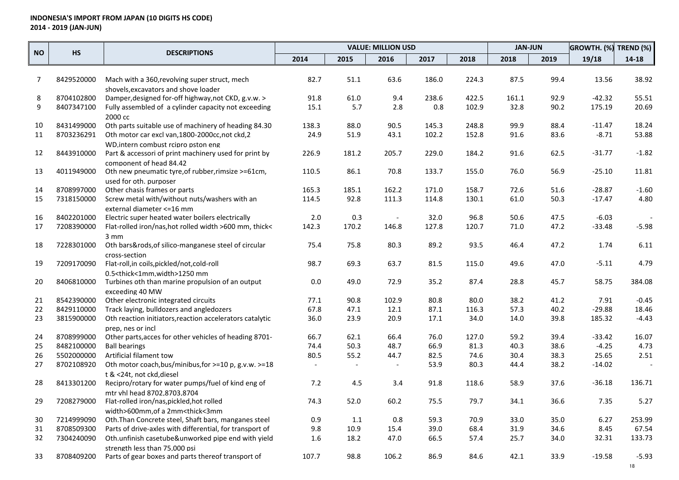|                |                          |                                                                                                                                              |                |                | <b>VALUE: MILLION USD</b><br><b>JAN-JUN</b><br>GROWTH. (%) TREND (%) |              |              |              |              |          |                          |
|----------------|--------------------------|----------------------------------------------------------------------------------------------------------------------------------------------|----------------|----------------|----------------------------------------------------------------------|--------------|--------------|--------------|--------------|----------|--------------------------|
| <b>NO</b>      | <b>HS</b>                | <b>DESCRIPTIONS</b>                                                                                                                          | 2014           | 2015           | 2016                                                                 | 2017         | 2018         | 2018         | 2019         | 19/18    | $14 - 18$                |
|                |                          |                                                                                                                                              |                |                |                                                                      |              |              |              |              |          |                          |
| $\overline{7}$ | 8429520000               | Mach with a 360, revolving super struct, mech                                                                                                | 82.7           | 51.1           | 63.6                                                                 | 186.0        | 224.3        | 87.5         | 99.4         | 13.56    | 38.92                    |
|                |                          | shovels, excavators and shove loader                                                                                                         |                |                |                                                                      |              |              |              |              |          |                          |
| 8              | 8704102800               | Damper, designed for-off highway, not CKD, g.v.w. >                                                                                          | 91.8           | 61.0           | 9.4                                                                  | 238.6        | 422.5        | 161.1        | 92.9         | $-42.32$ | 55.51                    |
| 9              | 8407347100               | Fully assembled of a cylinder capacity not exceeding                                                                                         | 15.1           | 5.7            | 2.8                                                                  | 0.8          | 102.9        | 32.8         | 90.2         | 175.19   | 20.69                    |
|                |                          | 2000 cc                                                                                                                                      |                |                |                                                                      |              |              |              |              |          |                          |
| 10             | 8431499000               | Oth parts suitable use of machinery of heading 84.30                                                                                         | 138.3          | 88.0           | 90.5                                                                 | 145.3        | 248.8        | 99.9         | 88.4         | $-11.47$ | 18.24                    |
| 11             | 8703236291               | Oth motor car excl van, 1800-2000cc, not ckd, 2                                                                                              | 24.9           | 51.9           | 43.1                                                                 | 102.2        | 152.8        | 91.6         | 83.6         | $-8.71$  | 53.88                    |
|                |                          | WD intern combust reipro pston eng                                                                                                           |                |                |                                                                      |              |              |              |              |          |                          |
| 12             | 8443910000               | Part & accessori of print machinery used for print by                                                                                        | 226.9          | 181.2          | 205.7                                                                | 229.0        | 184.2        | 91.6         | 62.5         | $-31.77$ | $-1.82$                  |
| 13             |                          | component of head 84.42                                                                                                                      | 110.5          | 86.1           | 70.8                                                                 |              |              | 76.0         | 56.9         | $-25.10$ | 11.81                    |
|                | 4011949000               | Oth new pneumatic tyre, of rubber, rimsize >=61cm,                                                                                           |                |                |                                                                      | 133.7        | 155.0        |              |              |          |                          |
| 14             | 8708997000               | used for oth, purposer<br>Other chasis frames or parts                                                                                       | 165.3          | 185.1          | 162.2                                                                | 171.0        | 158.7        | 72.6         | 51.6         | $-28.87$ | $-1.60$                  |
| 15             | 7318150000               | Screw metal with/without nuts/washers with an                                                                                                | 114.5          | 92.8           | 111.3                                                                | 114.8        | 130.1        | 61.0         | 50.3         | $-17.47$ | 4.80                     |
|                |                          | external diameter <= 16 mm                                                                                                                   |                |                |                                                                      |              |              |              |              |          |                          |
| 16             | 8402201000               | Electric super heated water boilers electrically                                                                                             | 2.0            | 0.3            |                                                                      | 32.0         | 96.8         | 50.6         | 47.5         | $-6.03$  |                          |
| 17             | 7208390000               | Flat-rolled iron/nas, hot rolled width >600 mm, thick<                                                                                       | 142.3          | 170.2          | 146.8                                                                | 127.8        | 120.7        | 71.0         | 47.2         | $-33.48$ | $-5.98$                  |
|                |                          | $3 \, \text{mm}$                                                                                                                             |                |                |                                                                      |              |              |              |              |          |                          |
| 18             | 7228301000               | Oth bars&rods, of silico-manganese steel of circular                                                                                         | 75.4           | 75.8           | 80.3                                                                 | 89.2         | 93.5         | 46.4         | 47.2         | 1.74     | 6.11                     |
|                |                          | cross-section                                                                                                                                |                |                |                                                                      |              |              |              |              |          |                          |
| 19             | 7209170090               | Flat-roll, in coils, pickled/not, cold-roll                                                                                                  | 98.7           | 69.3           | 63.7                                                                 | 81.5         | 115.0        | 49.6         | 47.0         | $-5.11$  | 4.79                     |
|                |                          | 0.5 <thick<1mm,width>1250 mm</thick<1mm,width>                                                                                               |                |                |                                                                      |              |              |              |              |          |                          |
| 20             | 8406810000               | Turbines oth than marine propulsion of an output                                                                                             | 0.0            | 49.0           | 72.9                                                                 | 35.2         | 87.4         | 28.8         | 45.7         | 58.75    | 384.08                   |
|                |                          | exceeding 40 MW                                                                                                                              |                |                |                                                                      |              |              |              |              |          |                          |
| 21             | 8542390000               | Other electronic integrated circuits                                                                                                         | 77.1           | 90.8           | 102.9                                                                | 80.8         | 80.0         | 38.2         | 41.2         | 7.91     | $-0.45$                  |
| 22             | 8429110000               | Track laying, bulldozers and angledozers                                                                                                     | 67.8           | 47.1           | 12.1                                                                 | 87.1         | 116.3        | 57.3         | 40.2         | $-29.88$ | 18.46                    |
| 23             | 3815900000               | Oth reaction initiators, reaction accelerators catalytic                                                                                     | 36.0           | 23.9           | 20.9                                                                 | 17.1         | 34.0         | 14.0         | 39.8         | 185.32   | $-4.43$                  |
|                |                          | prep, nes or incl                                                                                                                            |                |                |                                                                      |              |              |              |              |          |                          |
| 24             | 8708999000               | Other parts, acces for other vehicles of heading 8701-                                                                                       | 66.7           | 62.1           | 66.4                                                                 | 76.0         | 127.0        | 59.2         | 39.4         | $-33.42$ | 16.07                    |
| 25             | 8482100000               | <b>Ball bearings</b>                                                                                                                         | 74.4           | 50.3           | 48.7                                                                 | 66.9         | 81.3         | 40.3         | 38.6         | $-4.25$  | 4.73                     |
| 26             | 5502000000               | Artificial filament tow                                                                                                                      | 80.5           | 55.2           | 44.7                                                                 | 82.5         | 74.6         | 30.4         | 38.3         | 25.65    | 2.51                     |
| 27             | 8702108920               | Oth motor coach, bus/minibus, for >=10 p, g.v.w. >=18                                                                                        | $\blacksquare$ | $\blacksquare$ | $\overline{\phantom{a}}$                                             | 53.9         | 80.3         | 44.4         | 38.2         | $-14.02$ | $\overline{\phantom{a}}$ |
|                |                          | t & <24t, not ckd, diesel                                                                                                                    |                |                |                                                                      |              |              |              |              |          |                          |
| 28             | 8413301200               | Recipro/rotary for water pumps/fuel of kind eng of                                                                                           | 7.2            | 4.5            | 3.4                                                                  | 91.8         | 118.6        | 58.9         | 37.6         | $-36.18$ | 136.71                   |
|                |                          | mtr vhl head 8702,8703,8704                                                                                                                  |                |                |                                                                      |              |              |              |              |          |                          |
| 29             | 7208279000               | Flat-rolled iron/nas, pickled, hot rolled                                                                                                    | 74.3           | 52.0           | 60.2                                                                 | 75.5         | 79.7         | 34.1         | 36.6         | 7.35     | 5.27                     |
|                |                          | width>600mm.of a 2mm <thick<3mm< td=""><td>0.9</td><td></td><td></td><td></td><td></td><td></td><td></td><td>6.27</td><td></td></thick<3mm<> | 0.9            |                |                                                                      |              |              |              |              | 6.27     |                          |
| 30             | 7214999090               | Oth. Than Concrete steel, Shaft bars, manganes steel<br>Parts of drive-axles with differential, for transport of                             |                | 1.1<br>10.9    | 0.8                                                                  | 59.3<br>39.0 | 70.9<br>68.4 | 33.0<br>31.9 | 35.0<br>34.6 | 8.45     | 253.99<br>67.54          |
| 31<br>32       | 8708509300<br>7304240090 | Oth.unfinish casetube&unworked pipe end with yield                                                                                           | 9.8<br>1.6     | 18.2           | 15.4<br>47.0                                                         | 66.5         | 57.4         | 25.7         | 34.0         | 32.31    | 133.73                   |
|                |                          | strength less than 75,000 psi                                                                                                                |                |                |                                                                      |              |              |              |              |          |                          |
|                | 8708409200               |                                                                                                                                              |                |                |                                                                      |              |              |              |              |          | $-5.93$                  |
| 33             |                          | Parts of gear boxes and parts thereof transport of                                                                                           | 107.7          | 98.8           | 106.2                                                                | 86.9         | 84.6         | 42.1         | 33.9         | $-19.58$ |                          |